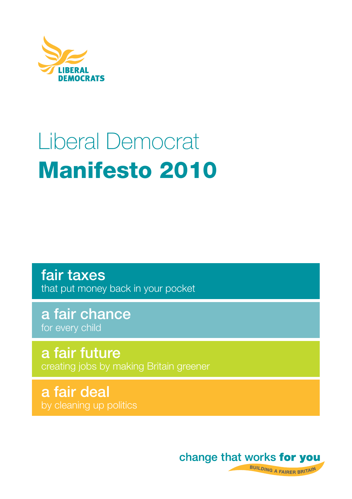

# Liberal Democrat **Manifesto 2010**

**fair taxes** that put money back in your pocket

**a fair chance** for every child

**a fair future** 

**a fair deal** 

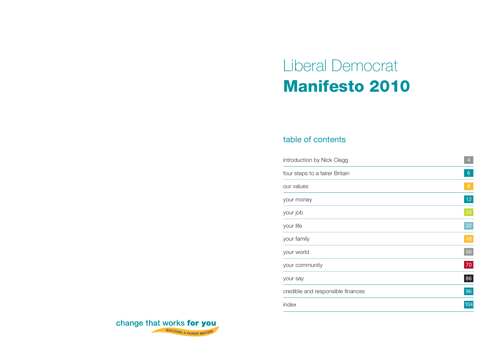# Liberal Democrat **Manifesto 2010**

# table of contents

| introduction by Nick Clegg        | 4   |
|-----------------------------------|-----|
| four steps to a fairer Britain    | 6   |
| our values                        | 8   |
| your money                        | 12  |
| your job                          | 20  |
| your life                         | 32  |
| your family                       | 48  |
| your world                        | 56  |
| your community                    | 70  |
| your say                          | 86  |
| credible and responsible finances | 96  |
| index                             | 104 |

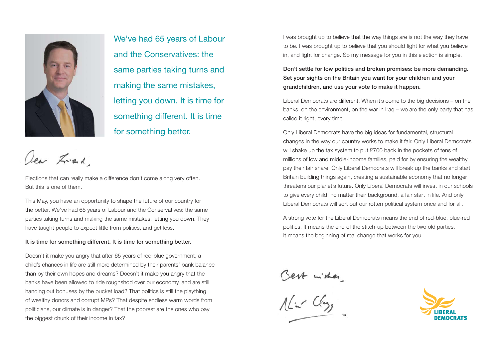

We've had 65 years of Labour and the Conservatives: the same parties taking turns and making the same mistakes, letting you down. It is time for something different. It is time for something better.

Dear Friend

Elections that can really make a difference don't come along very often. But this is one of them.

This May, you have an opportunity to shape the future of our country for the better. We've had 65 years of Labour and the Conservatives: the same parties taking turns and making the same mistakes, letting you down. They have taught people to expect little from politics, and get less.

#### **It is time for something different. It is time for something better.**

Doesn't it make you angry that after 65 years of red-blue government, a child's chances in life are still more determined by their parents' bank balance than by their own hopes and dreams? Doesn't it make you angry that the banks have been allowed to ride roughshod over our economy, and are still handing out bonuses by the bucket load? That politics is still the plaything of wealthy donors and corrupt MPs? That despite endless warm words from politicians, our climate is in danger? That the poorest are the ones who pay the biggest chunk of their income in tax?

I was brought up to believe that the way things are is not the way they have to be. I was brought up to believe that you should fight for what you believe in, and fight for change. So my message for you in this election is simple.

**Don't settle for low politics and broken promises: be more demanding. Set your sights on the Britain you want for your children and your grandchildren, and use your vote to make it happen.** 

Liberal Democrats are different. When it's come to the big decisions – on the banks, on the environment, on the war in Iraq – we are the only party that has called it right, every time.

Only Liberal Democrats have the big ideas for fundamental, structural changes in the way our country works to make it fair. Only Liberal Democrats will shake up the tax system to put £700 back in the pockets of tens of millions of low and middle-income families, paid for by ensuring the wealthy pay their fair share. Only Liberal Democrats will break up the banks and start Britain building things again, creating a sustainable economy that no longer threatens our planet's future. Only Liberal Democrats will invest in our schools to give every child, no matter their background, a fair start in life. And only Liberal Democrats will sort out our rotten political system once and for all.

A strong vote for the Liberal Democrats means the end of red-blue, blue-red politics. It means the end of the stitch-up between the two old parties. It means the beginning of real change that works for you.

Sest wither.<br>Aliar Clays

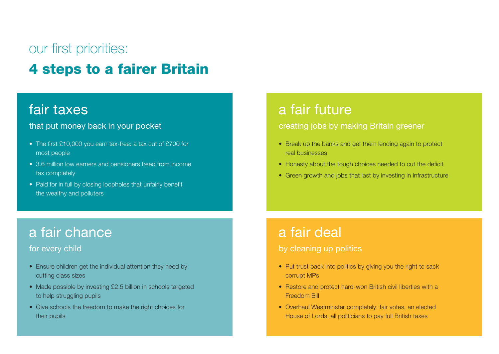# our first priorities:

# **4 steps to a fairer Britain**

# fair taxes

# that put money back in your pocket

- The first £10,000 you earn tax-free: a tax cut of £700 for most people
- 3.6 million low earners and pensioners freed from income tax completely
- Paid for in full by closing loopholes that unfairly benefit the wealthy and polluters

# a fair future

## creating jobs by making Britain greener

- Break up the banks and get them lending again to protect real businesses
- Honesty about the tough choices needed to cut the deficit
- Green growth and jobs that last by investing in infrastructure

# a fair chance

# for every child

- Ensure children get the individual attention they need by cutting class sizes
- Made possible by investing £2.5 billion in schools targeted to help struggling pupils
- Give schools the freedom to make the right choices for their pupils

# a fair deal

# by cleaning up politics

- Put trust back into politics by giving you the right to sack corrupt MPs
- Restore and protect hard-won British civil liberties with a Freedom Bill
- Overhaul Westminster completely: fair votes, an elected House of Lords, all politicians to pay full British taxes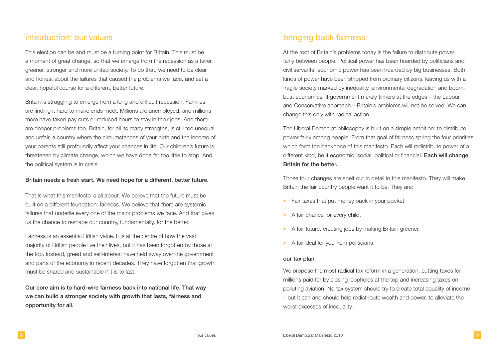### introduction: our values

This election can be and must be a turning point for Britain. This must be a moment of great change, so that we emerge from the recession as a fairer, greener, stronger and more united society. To do that, we need to be clear and honest about the failures that caused the problems we face, and set a clear, hopeful course for a different, better future.

Britain is struggling to emerge from a long and difficult recession. Families are finding it hard to make ends meet. Millions are unemployed, and millions more have taken pay cuts or reduced hours to stay in their jobs. And there are deeper problems too. Britain, for all its many strengths, is still too unequal and unfair, a country where the circumstances of your birth and the income of your parents still profoundly affect your chances in life. Our children's future is threatened by climate change, which we have done far too little to stop. And the political system is in crisis.

#### **Britain needs a fresh start. We need hope for a different, better future.**

That is what this manifesto is all about. We believe that the future must be built on a different foundation: fairness. We believe that there are systemic failures that underlie every one of the major problems we face. And that gives us the chance to reshape our country, fundamentally, for the better.

Fairness is an essential British value. It is at the centre of how the vast majority of British people live their lives, but it has been forgotten by those at the top. Instead, greed and self-interest have held sway over the government and parts of the economy in recent decades. They have forgotten that growth must be shared and sustainable if it is to last.

**Our core aim is to hard-wire fairness back into national life. That way we can build a stronger society with growth that lasts, fairness and opportunity for all.**

# bringing back fairness

At the root of Britain's problems today is the failure to distribute power fairly between people. Political power has been hoarded by politicians and civil servants; economic power has been hoarded by big businesses. Both kinds of power have been stripped from ordinary citizens, leaving us with a fragile society marked by inequality, environmental degradation and boombust economics. If government merely tinkers at the edges – the Labour and Conservative approach – Britain's problems will not be solved. We can change this only with radical action.

The Liberal Democrat philosophy is built on a simple ambition: to distribute power fairly among people. From that goal of fairness spring the four priorities which form the backbone of this manifesto. Each will redistribute power of a different kind, be it economic, social, political or financial. **Each will change Britain for the better.**

Those four changes are spelt out in detail in this manifesto. They will make Britain the fair country people want it to be. They are:

- Fair taxes that put money back in your pocket.
- A fair chance for every child.
- A fair future, creating jobs by making Britain greener.
- A fair deal for you from politicians.

#### **our tax plan**

We propose the most radical tax reform in a generation, cutting taxes for millions paid for by closing loopholes at the top and increasing taxes on polluting aviation. No tax system should try to create total equality of income – but it can and should help redistribute wealth and power, to alleviate the worst excesses of inequality.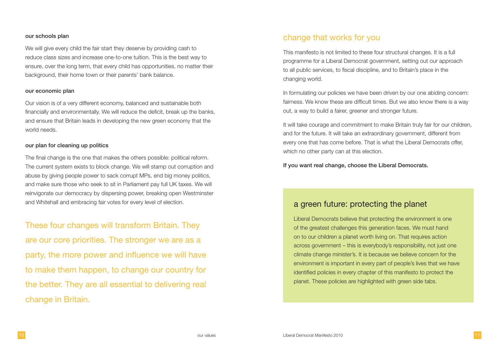#### **our schools plan**

We will give every child the fair start they deserve by providing cash to reduce class sizes and increase one-to-one tuition. This is the best way to ensure, over the long term, that every child has opportunities, no matter their background, their home town or their parents' bank balance.

#### **our economic plan**

Our vision is of a very different economy, balanced and sustainable both financially and environmentally. We will reduce the deficit, break up the banks, and ensure that Britain leads in developing the new green economy that the world needs.

#### **our plan for cleaning up politics**

The final change is the one that makes the others possible: political reform. The current system exists to block change. We will stamp out corruption and abuse by giving people power to sack corrupt MPs, end big money politics, and make sure those who seek to sit in Parliament pay full UK taxes. We will reinvigorate our democracy by dispersing power, breaking open Westminster and Whitehall and embracing fair votes for every level of election.

These four changes will transform Britain. They are our core priorities. The stronger we are as a party, the more power and influence we will have to make them happen, to change our country for the better. They are all essential to delivering real change in Britain.

## change that works for you

This manifesto is not limited to these four structural changes. It is a full programme for a Liberal Democrat government, setting out our approach to all public services, to fiscal discipline, and to Britain's place in the changing world.

In formulating our policies we have been driven by our one abiding concern: fairness. We know these are difficult times. But we also know there is a way out, a way to build a fairer, greener and stronger future.

It will take courage and commitment to make Britain truly fair for our children, and for the future. It will take an extraordinary government, different from every one that has come before. That is what the Liberal Democrats offer, which no other party can at this election.

**If you want real change, choose the Liberal Democrats.**

## a green future: protecting the planet

Liberal Democrats believe that protecting the environment is one of the greatest challenges this generation faces. We must hand on to our children a planet worth living on. That requires action across government – this is everybody's responsibility, not just one climate change minister's. It is because we believe concern for the environment is important in every part of people's lives that we have identified policies in every chapter of this manifesto to protect the planet. These policies are highlighted with green side tabs.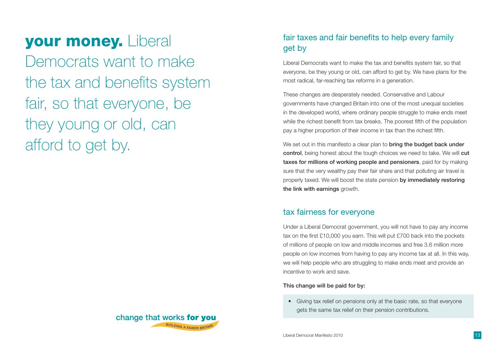# **your money.** Liberal

Democrats want to make the tax and benefits system fair, so that everyone, be they young or old, can afford to get by.



**BUILDING A FAIRER BRITAIN** 

change that works for you

# fair taxes and fair benefits to help every family get by

Liberal Democrats want to make the tax and benefits system fair, so that everyone, be they young or old, can afford to get by. We have plans for the most radical, far-reaching tax reforms in a generation.

These changes are desperately needed. Conservative and Labour governments have changed Britain into one of the most unequal societies in the developed world, where ordinary people struggle to make ends meet while the richest benefit from tax breaks. The poorest fifth of the population pay a higher proportion of their income in tax than the richest fifth.

We set out in this manifesto a clear plan to **bring the budget back under control**, being honest about the tough choices we need to take. We will **cut taxes for millions of working people and pensioners**, paid for by making sure that the very wealthy pay their fair share and that polluting air travel is properly taxed. We will boost the state pension **by immediately restoring the link with earnings** growth.

### tax fairness for everyone

Under a Liberal Democrat government, you will not have to pay any income tax on the first £10,000 you earn. This will put £700 back into the pockets of millions of people on low and middle incomes and free 3.6 million more people on low incomes from having to pay any income tax at all. In this way, we will help people who are struggling to make ends meet and provide an incentive to work and save.

#### **This change will be paid for by:**

• Giving tax relief on pensions only at the basic rate, so that everyone gets the same tax relief on their pension contributions.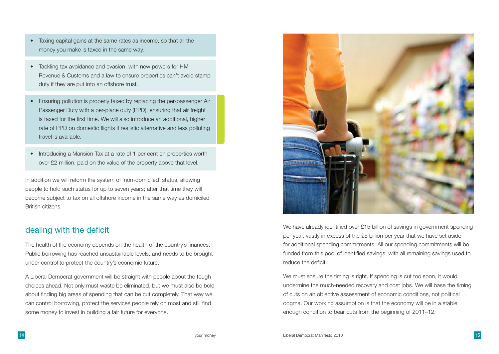- Taxing capital gains at the same rates as income, so that all the money you make is taxed in the same way.
- Tackling tax avoidance and evasion, with new powers for HM Revenue & Customs and a law to ensure properties can't avoid stamp duty if they are put into an offshore trust.
- Ensuring pollution is properly taxed by replacing the per-passenger Air Passenger Duty with a per-plane duty (PPD), ensuring that air freight is taxed for the first time. We will also introduce an additional, higher rate of PPD on domestic flights if realistic alternative and less polluting travel is available.
- Introducing a Mansion Tax at a rate of 1 per cent on properties worth over £2 million, paid on the value of the property above that level.

In addition we will reform the system of 'non-domiciled' status, allowing people to hold such status for up to seven years; after that time they will become subject to tax on all offshore income in the same way as domiciled British citizens.

# dealing with the deficit

The health of the economy depends on the health of the country's finances. Public borrowing has reached unsustainable levels, and needs to be brought under control to protect the country's economic future.

A Liberal Democrat government will be straight with people about the tough choices ahead. Not only must waste be eliminated, but we must also be bold about finding big areas of spending that can be cut completely. That way we can control borrowing, protect the services people rely on most and still find some money to invest in building a fair future for everyone.



We have already identified over £15 billion of savings in government spending per year, vastly in excess of the £5 billion per year that we have set aside for additional spending commitments. All our spending commitments will be funded from this pool of identified savings, with all remaining savings used to reduce the deficit.

We must ensure the timing is right. If spending is cut too soon, it would undermine the much-needed recovery and cost jobs. We will base the timing of cuts on an objective assessment of economic conditions, not political dogma. Our working assumption is that the economy will be in a stable enough condition to bear cuts from the beginning of 2011–12.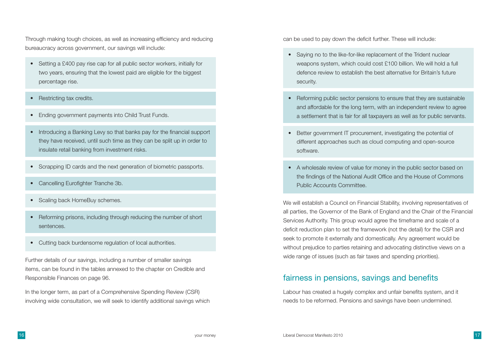Through making tough choices, as well as increasing efficiency and reducing bureaucracy across government, our savings will include:

- Setting a £400 pay rise cap for all public sector workers, initially for two years, ensuring that the lowest paid are eligible for the biggest percentage rise.
- Restricting tax credits.
- Ending government payments into Child Trust Funds.
- Introducing a Banking Levy so that banks pay for the financial support they have received, until such time as they can be split up in order to insulate retail banking from investment risks.
- Scrapping ID cards and the next generation of biometric passports.
- Cancelling Eurofighter Tranche 3b.
- Scaling back HomeBuy schemes.
- Reforming prisons, including through reducing the number of short sentences.
- Cutting back burdensome regulation of local authorities.

Further details of our savings, including a number of smaller savings items, can be found in the tables annexed to the chapter on Credible and Responsible Finances on page 96.

In the longer term, as part of a Comprehensive Spending Review (CSR) involving wide consultation, we will seek to identify additional savings which can be used to pay down the deficit further. These will include:

- Saving no to the like-for-like replacement of the Trident nuclear weapons system, which could cost £100 billion. We will hold a full defence review to establish the best alternative for Britain's future security.
- Reforming public sector pensions to ensure that they are sustainable and affordable for the long term, with an independent review to agree a settlement that is fair for all taxpayers as well as for public servants.
- Better government IT procurement, investigating the potential of different approaches such as cloud computing and open-source software.
- A wholesale review of value for money in the public sector based on the findings of the National Audit Office and the House of Commons Public Accounts Committee.

We will establish a Council on Financial Stability, involving representatives of all parties, the Governor of the Bank of England and the Chair of the Financial Services Authority. This group would agree the timeframe and scale of a deficit reduction plan to set the framework (not the detail) for the CSR and seek to promote it externally and domestically. Any agreement would be without prejudice to parties retaining and advocating distinctive views on a wide range of issues (such as fair taxes and spending priorities).

# fairness in pensions, savings and benefits

Labour has created a hugely complex and unfair benefits system, and it needs to be reformed. Pensions and savings have been undermined.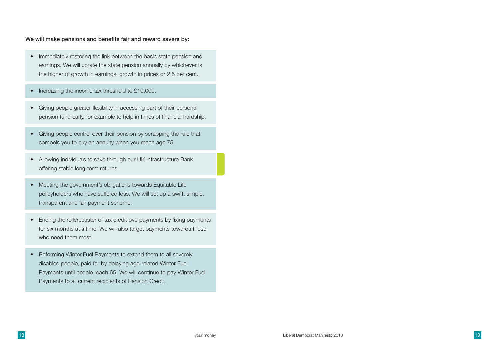#### We will make pensions and benefits fair and reward savers by:

- Immediately restoring the link between the basic state pension and earnings. We will uprate the state pension annually by whichever is the higher of growth in earnings, growth in prices or 2.5 per cent.
- Increasing the income tax threshold to £10,000.
- Giving people greater flexibility in accessing part of their personal pension fund early, for example to help in times of financial hardship.
- Giving people control over their pension by scrapping the rule that compels you to buy an annuity when you reach age 75.
- Allowing individuals to save through our UK Infrastructure Bank, offering stable long-term returns.
- Meeting the government's obligations towards Equitable Life policyholders who have suffered loss. We will set up a swift, simple, transparent and fair payment scheme.
- Ending the rollercoaster of tax credit overpayments by fixing payments for six months at a time. We will also target payments towards those who need them most.
- Reforming Winter Fuel Payments to extend them to all severely disabled people, paid for by delaying age-related Winter Fuel Payments until people reach 65. We will continue to pay Winter Fuel Payments to all current recipients of Pension Credit.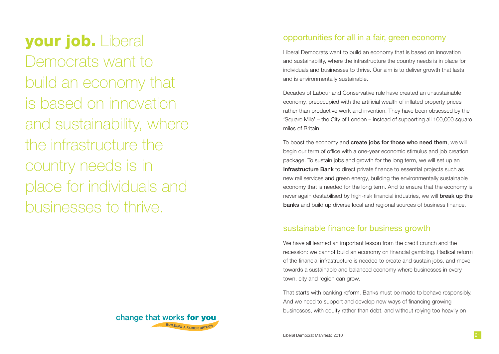# **your job.** Liberal

Democrats want to build an economy that is based on innovation and sustainability, where the infrastructure the country needs is in place for individuals and businesses to thrive.



# opportunities for all in a fair, green economy

Liberal Democrats want to build an economy that is based on innovation and sustainability, where the infrastructure the country needs is in place for individuals and businesses to thrive. Our aim is to deliver growth that lasts and is environmentally sustainable.

Decades of Labour and Conservative rule have created an unsustainable economy, preoccupied with the artificial wealth of inflated property prices rather than productive work and invention. They have been obsessed by the 'Square Mile' – the City of London – instead of supporting all 100,000 square miles of Britain.

To boost the economy and **create jobs for those who need them**, we will begin our term of office with a one-year economic stimulus and job creation package. To sustain jobs and growth for the long term, we will set up an **Infrastructure Bank** to direct private finance to essential projects such as new rail services and green energy, building the environmentally sustainable economy that is needed for the long term. And to ensure that the economy is never again destabilised by high-risk financial industries, we will **break up the banks** and build up diverse local and regional sources of business finance.

## sustainable finance for business growth

We have all learned an important lesson from the credit crunch and the recession: we cannot build an economy on financial gambling. Radical reform of the financial infrastructure is needed to create and sustain jobs, and move towards a sustainable and balanced economy where businesses in every town, city and region can grow.

That starts with banking reform. Banks must be made to behave responsibly. And we need to support and develop new ways of financing growing businesses, with equity rather than debt, and without relying too heavily on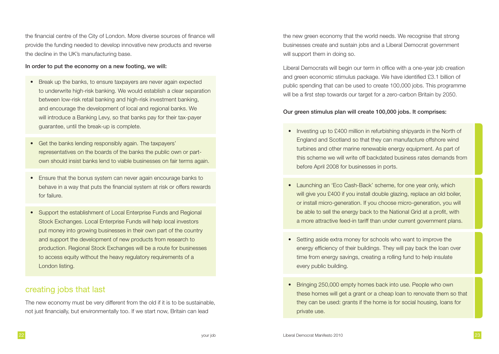the financial centre of the City of London. More diverse sources of finance will provide the funding needed to develop innovative new products and reverse the decline in the UK's manufacturing base.

#### **In order to put the economy on a new footing, we will:**

- Break up the banks, to ensure taxpayers are never again expected to underwrite high-risk banking. We would establish a clear separation between low-risk retail banking and high-risk investment banking, and encourage the development of local and regional banks. We will introduce a Banking Levy, so that banks pay for their tax-payer guarantee, until the break-up is complete.
- Get the banks lending responsibly again. The taxpayers' representatives on the boards of the banks the public own or partown should insist banks lend to viable businesses on fair terms again.
- Ensure that the bonus system can never again encourage banks to behave in a way that puts the financial system at risk or offers rewards for failure.
- Support the establishment of Local Enterprise Funds and Regional Stock Exchanges. Local Enterprise Funds will help local investors put money into growing businesses in their own part of the country and support the development of new products from research to production. Regional Stock Exchanges will be a route for businesses to access equity without the heavy regulatory requirements of a London listing.

### creating jobs that last

The new economy must be very different from the old if it is to be sustainable, not just financially, but environmentally too. If we start now, Britain can lead

the new green economy that the world needs. We recognise that strong businesses create and sustain jobs and a Liberal Democrat government will support them in doing so.

Liberal Democrats will begin our term in office with a one-year job creation and green economic stimulus package. We have identified £3.1 billion of public spending that can be used to create 100,000 jobs. This programme will be a first step towards our target for a zero-carbon Britain by 2050.

#### **Our green stimulus plan will create 100,000 jobs. It comprises:**

- Investing up to £400 million in refurbishing shipyards in the North of England and Scotland so that they can manufacture offshore wind turbines and other marine renewable energy equipment. As part of this scheme we will write off backdated business rates demands from before April 2008 for businesses in ports.
- Launching an 'Eco Cash-Back' scheme, for one year only, which will give you £400 if you install double glazing, replace an old boiler, or install micro-generation. If you choose micro-generation, you will be able to sell the energy back to the National Grid at a profit, with a more attractive feed-in tariff than under current government plans.
- Setting aside extra money for schools who want to improve the energy efficiency of their buildings. They will pay back the loan over time from energy savings, creating a rolling fund to help insulate every public building.
- Bringing 250,000 empty homes back into use. People who own these homes will get a grant or a cheap loan to renovate them so that they can be used: grants if the home is for social housing, loans for private use.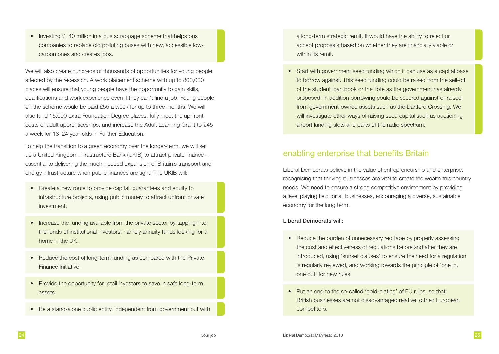• Investing £140 million in a bus scrappage scheme that helps bus companies to replace old polluting buses with new, accessible lowcarbon ones and creates jobs.

We will also create hundreds of thousands of opportunities for young people affected by the recession. A work placement scheme with up to 800,000 places will ensure that young people have the opportunity to gain skills, qualifications and work experience even if they can't find a job. Young people on the scheme would be paid £55 a week for up to three months. We will also fund 15,000 extra Foundation Degree places, fully meet the up-front costs of adult apprenticeships, and increase the Adult Learning Grant to £45 a week for 18–24 year-olds in Further Education.

To help the transition to a green economy over the longer-term, we will set up a United Kingdom Infrastructure Bank (UKIB) to attract private finance essential to delivering the much-needed expansion of Britain's transport and energy infrastructure when public finances are tight. The UKIB will:

• Create a new route to provide capital, quarantees and equity to infrastructure projects, using public money to attract upfront private investment.

• Increase the funding available from the private sector by tapping into the funds of institutional investors, namely annuity funds looking for a home in the UK.

- Reduce the cost of long-term funding as compared with the Private Finance Initiative.
- Provide the opportunity for retail investors to save in safe long-term assets.
- Be a stand-alone public entity, independent from government but with

a long-term strategic remit. It would have the ability to reject or accept proposals based on whether they are financially viable or within its remit.

• Start with government seed funding which it can use as a capital base to borrow against. This seed funding could be raised from the sell-off of the student loan book or the Tote as the government has already proposed. In addition borrowing could be secured against or raised from government-owned assets such as the Dartford Crossing. We will investigate other ways of raising seed capital such as auctioning airport landing slots and parts of the radio spectrum.

### enabling enterprise that benefits Britain

Liberal Democrats believe in the value of entrepreneurship and enterprise, recognising that thriving businesses are vital to create the wealth this country needs. We need to ensure a strong competitive environment by providing a level playing field for all businesses, encouraging a diverse, sustainable economy for the long term.

#### **Liberal Democrats will:**

- Reduce the burden of unnecessary red tape by properly assessing the cost and effectiveness of regulations before and after they are introduced, using 'sunset clauses' to ensure the need for a regulation is regularly reviewed, and working towards the principle of 'one in, one out' for new rules.
- Put an end to the so-called 'gold-plating' of EU rules, so that British businesses are not disadvantaged relative to their European competitors.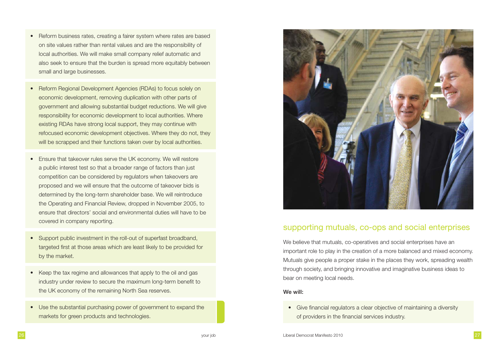- Reform business rates, creating a fairer system where rates are based on site values rather than rental values and are the responsibility of local authorities. We will make small company relief automatic and also seek to ensure that the burden is spread more equitably between small and large businesses.
- Reform Regional Development Agencies (RDAs) to focus solely on economic development, removing duplication with other parts of government and allowing substantial budget reductions. We will give responsibility for economic development to local authorities. Where existing RDAs have strong local support, they may continue with refocused economic development objectives. Where they do not, they will be scrapped and their functions taken over by local authorities.
- Ensure that takeover rules serve the UK economy. We will restore a public interest test so that a broader range of factors than just competition can be considered by regulators when takeovers are proposed and we will ensure that the outcome of takeover bids is determined by the long-term shareholder base. We will reintroduce the Operating and Financial Review, dropped in November 2005, to ensure that directors' social and environmental duties will have to be covered in company reporting.
- Support public investment in the roll-out of superfast broadband, targeted first at those areas which are least likely to be provided for by the market.
- Keep the tax regime and allowances that apply to the oil and gas industry under review to secure the maximum long-term benefit to the UK economy of the remaining North Sea reserves.
- Use the substantial purchasing power of government to expand the markets for green products and technologies.



### supporting mutuals, co-ops and social enterprises

We believe that mutuals, co-operatives and social enterprises have an important role to play in the creation of a more balanced and mixed economy. Mutuals give people a proper stake in the places they work, spreading wealth through society, and bringing innovative and imaginative business ideas to bear on meeting local needs.

#### **We will:**

• Give financial regulators a clear objective of maintaining a diversity of providers in the financial services industry.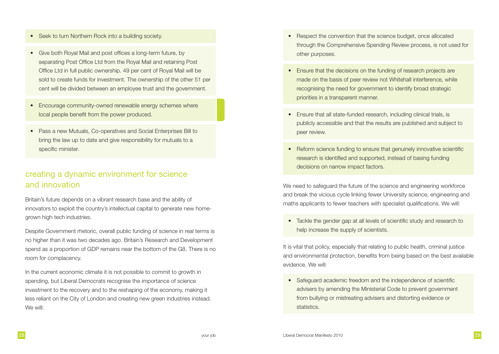- Seek to turn Northern Rock into a building society.
- Give both Royal Mail and post offices a long-term future, by separating Post Office Ltd from the Royal Mail and retaining Post Office Ltd in full public ownership. 49 per cent of Royal Mail will be sold to create funds for investment. The ownership of the other 51 per cent will be divided between an employee trust and the government.
- Encourage community-owned renewable energy schemes where local people benefit from the power produced.
- Pass a new Mutuals, Co-operatives and Social Enterprises Bill to bring the law up to date and give responsibility for mutuals to a specific minister.

# creating a dynamic environment for science and innovation

Britain's future depends on a vibrant research base and the ability of innovators to exploit the country's intellectual capital to generate new homegrown high tech industries.

Despite Government rhetoric, overall public funding of science in real terms is no higher than it was two decades ago. Britain's Research and Development spend as a proportion of GDP remains near the bottom of the G8. There is no room for complacency.

In the current economic climate it is not possible to commit to growth in spending, but Liberal Democrats recognise the importance of science investment to the recovery and to the reshaping of the economy, making it less reliant on the City of London and creating new green industries instead. We will:

- Respect the convention that the science budget, once allocated through the Comprehensive Spending Review process, is not used for other purposes.
- Ensure that the decisions on the funding of research projects are made on the basis of peer review not Whitehall interference, while recognising the need for government to identify broad strategic priorities in a transparent manner.
- Ensure that all state-funded research, including clinical trials, is publicly accessible and that the results are published and subject to peer review.
- Reform science funding to ensure that genuinely innovative scientific research is identified and supported, instead of basing funding decisions on narrow impact factors.

We need to safeguard the future of the science and engineering workforce and break the vicious cycle linking fewer University science, engineering and maths applicants to fewer teachers with specialist qualifications. We will:

• Tackle the gender gap at all levels of scientific study and research to help increase the supply of scientists.

It is vital that policy, especially that relating to public health, criminal justice and environmental protection, benefits from being based on the best available evidence. We will:

• Safeguard academic freedom and the independence of scientific advisers by amending the Ministerial Code to prevent government from bullying or mistreating advisers and distorting evidence or statistics.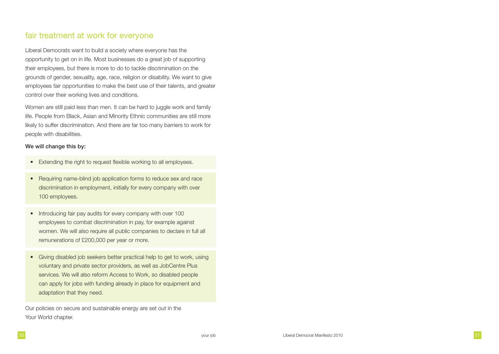## fair treatment at work for everyone

Liberal Democrats want to build a society where everyone has the opportunity to get on in life. Most businesses do a great job of supporting their employees, but there is more to do to tackle discrimination on the grounds of gender, sexuality, age, race, religion or disability. We want to give employees fair opportunities to make the best use of their talents, and greater control over their working lives and conditions.

Women are still paid less than men. It can be hard to juggle work and family life. People from Black, Asian and Minority Ethnic communities are still more likely to suffer discrimination. And there are far too many barriers to work for people with disabilities.

#### **We will change this by:**

- $\bullet$  Extending the right to request flexible working to all employees.
- Requiring name-blind job application forms to reduce sex and race discrimination in employment, initially for every company with over 100 employees.
- Introducing fair pay audits for every company with over 100 employees to combat discrimination in pay, for example against women. We will also require all public companies to declare in full all remunerations of £200,000 per year or more.
- Giving disabled job seekers better practical help to get to work, using voluntary and private sector providers, as well as JobCentre Plus services. We will also reform Access to Work, so disabled people can apply for jobs with funding already in place for equipment and adaptation that they need.

Our policies on secure and sustainable energy are set out in the Your World chapter.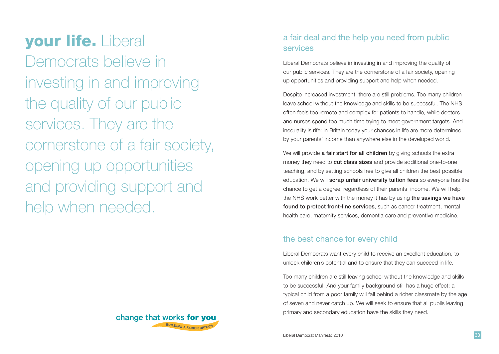# **your life.** Liberal

Democrats believe in investing in and improving the quality of our public services. They are the cornerstone of a fair society, opening up opportunities and providing support and help when needed.



# a fair deal and the help you need from public services

Liberal Democrats believe in investing in and improving the quality of our public services. They are the cornerstone of a fair society, opening up opportunities and providing support and help when needed.

Despite increased investment, there are still problems. Too many children leave school without the knowledge and skills to be successful. The NHS often feels too remote and complex for patients to handle, while doctors and nurses spend too much time trying to meet government targets. And inequality is rife: in Britain today your chances in life are more determined by your parents' income than anywhere else in the developed world.

We will provide **a fair start for all children** by giving schools the extra money they need to **cut class sizes** and provide additional one-to-one teaching, and by setting schools free to give all children the best possible education. We will **scrap unfair university tuition fees** so everyone has the chance to get a degree, regardless of their parents' income. We will help the NHS work better with the money it has by using **the savings we have found to protect front-line services**, such as cancer treatment, mental health care, maternity services, dementia care and preventive medicine.

# the best chance for every child

Liberal Democrats want every child to receive an excellent education, to unlock children's potential and to ensure that they can succeed in life.

Too many children are still leaving school without the knowledge and skills to be successful. And your family background still has a huge effect: a typical child from a poor family will fall behind a richer classmate by the age of seven and never catch up. We will seek to ensure that all pupils leaving primary and secondary education have the skills they need.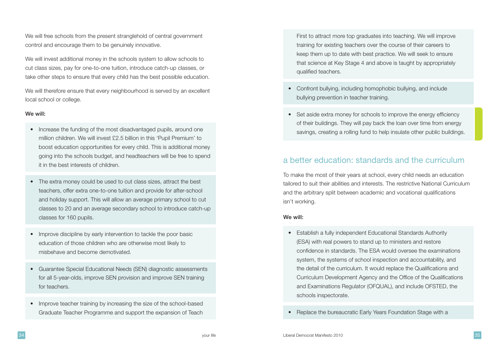We will free schools from the present stranglehold of central government control and encourage them to be genuinely innovative.

We will invest additional money in the schools system to allow schools to cut class sizes, pay for one-to-one tuition, introduce catch-up classes, or take other steps to ensure that every child has the best possible education.

We will therefore ensure that every neighbourhood is served by an excellent local school or college.

#### **We will:**

- Increase the funding of the most disadvantaged pupils, around one million children. We will invest £2.5 billion in this 'Pupil Premium' to boost education opportunities for every child. This is additional money going into the schools budget, and headteachers will be free to spend it in the best interests of children.
- The extra money could be used to cut class sizes, attract the best teachers, offer extra one-to-one tuition and provide for after-school and holiday support. This will allow an average primary school to cut classes to 20 and an average secondary school to introduce catch-up classes for 160 pupils.
- Improve discipline by early intervention to tackle the poor basic education of those children who are otherwise most likely to misbehave and become demotivated.
- Guarantee Special Educational Needs (SEN) diagnostic assessments for all 5-year-olds, improve SEN provision and improve SEN training for teachers.
- Improve teacher training by increasing the size of the school-based Graduate Teacher Programme and support the expansion of Teach

First to attract more top graduates into teaching. We will improve training for existing teachers over the course of their careers to keep them up to date with best practice. We will seek to ensure that science at Key Stage 4 and above is taught by appropriately qualified teachers.

- Confront bullying, including homophobic bullying, and include bullying prevention in teacher training.
- Set aside extra money for schools to improve the energy efficiency of their buildings. They will pay back the loan over time from energy savings, creating a rolling fund to help insulate other public buildings.

### a better education: standards and the curriculum

To make the most of their years at school, every child needs an education tailored to suit their abilities and interests. The restrictive National Curriculum and the arbitrary split between academic and vocational qualifications isn't working.

#### **We will:**

- Establish a fully independent Educational Standards Authority (ESA) with real powers to stand up to ministers and restore confidence in standards. The FSA would oversee the examinations system, the systems of school inspection and accountability, and the detail of the curriculum. It would replace the Qualifications and Curriculum Development Agency and the Office of the Qualifications and Examinations Regulator (OFQUAL), and include OFSTED, the schools inspectorate.
- Replace the bureaucratic Early Years Foundation Stage with a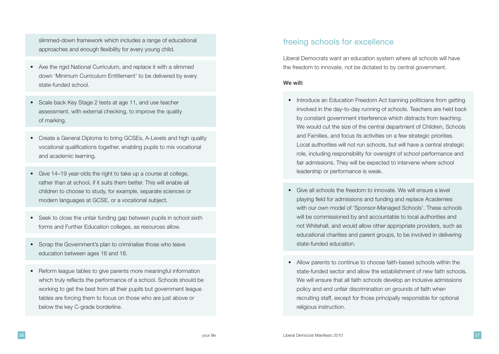slimmed-down framework which includes a range of educational approaches and enough flexibility for every young child.

- Axe the rigid National Curriculum, and replace it with a slimmed down 'Minimum Curriculum Entitlement' to be delivered by every state-funded school.
- Scale back Key Stage 2 tests at age 11, and use teacher assessment, with external checking, to improve the quality of marking.
- Create a General Diploma to bring GCSEs, A-Levels and high quality vocational qualifications together, enabling pupils to mix vocational and academic learning.
- Give 14–19 year-olds the right to take up a course at college, rather than at school, if it suits them better. This will enable all children to choose to study, for example, separate sciences or modern languages at GCSE, or a vocational subject.
- Seek to close the unfair funding gap between pupils in school sixth forms and Further Education colleges, as resources allow.
- Scrap the Government's plan to criminalise those who leave education between ages 16 and 18.
- Reform league tables to give parents more meaningful information which truly reflects the performance of a school. Schools should be working to get the best from all their pupils but government league tables are forcing them to focus on those who are just above or below the key C-grade borderline.

# freeing schools for excellence

Liberal Democrats want an education system where all schools will have the freedom to innovate, not be dictated to by central government.

#### **We will:**

- Introduce an Education Freedom Act banning politicians from getting involved in the day-to-day running of schools. Teachers are held back by constant government interference which distracts from teaching. We would cut the size of the central department of Children, Schools and Families, and focus its activities on a few strategic priorities. Local authorities will not run schools, but will have a central strategic role, including responsibility for oversight of school performance and fair admissions. They will be expected to intervene where school leadership or performance is weak.
- Give all schools the freedom to innovate. We will ensure a level playing field for admissions and funding and replace Academies with our own model of 'Sponsor-Managed Schools'. These schools will be commissioned by and accountable to local authorities and not Whitehall, and would allow other appropriate providers, such as educational charities and parent groups, to be involved in delivering state-funded education.
- Allow parents to continue to choose faith-based schools within the state-funded sector and allow the establishment of new faith schools. We will ensure that all faith schools develop an inclusive admissions policy and end unfair discrimination on grounds of faith when recruiting staff, except for those principally responsible for optional religious instruction.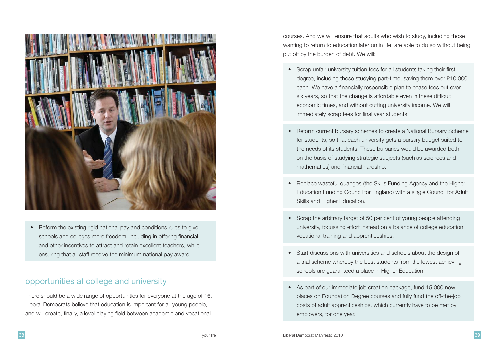

• Reform the existing rigid national pay and conditions rules to give schools and colleges more freedom, including in offering financial and other incentives to attract and retain excellent teachers, while ensuring that all staff receive the minimum national pay award.

## opportunities at college and university

There should be a wide range of opportunities for everyone at the age of 16. Liberal Democrats believe that education is important for all young people, and will create, finally, a level playing field between academic and vocational

courses. And we will ensure that adults who wish to study, including those wanting to return to education later on in life, are able to do so without being put off by the burden of debt. We will:

- Scrap unfair university tuition fees for all students taking their first degree, including those studying part-time, saving them over £10,000 each. We have a financially responsible plan to phase fees out over six years, so that the change is affordable even in these difficult economic times, and without cutting university income. We will immediately scrap fees for final year students.
- Reform current bursary schemes to create a National Bursary Scheme for students, so that each university gets a bursary budget suited to the needs of its students. These bursaries would be awarded both on the basis of studying strategic subjects (such as sciences and mathematics) and financial hardship.
- Replace wasteful quangos (the Skills Funding Agency and the Higher Education Funding Council for England) with a single Council for Adult Skills and Higher Education.
- Scrap the arbitrary target of 50 per cent of young people attending university, focussing effort instead on a balance of college education, vocational training and apprenticeships.
- Start discussions with universities and schools about the design of a trial scheme whereby the best students from the lowest achieving schools are guaranteed a place in Higher Education.
- As part of our immediate job creation package, fund 15,000 new places on Foundation Degree courses and fully fund the off-the-job costs of adult apprenticeships, which currently have to be met by employers, for one year.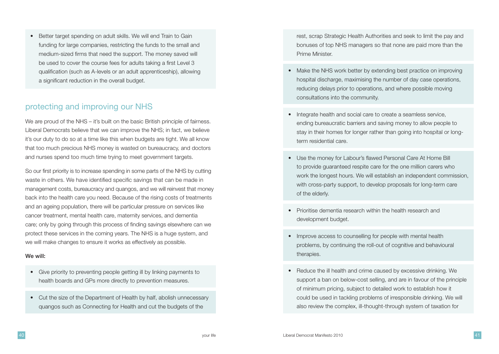• Better target spending on adult skills. We will end Train to Gain funding for large companies, restricting the funds to the small and medium-sized firms that need the support. The money saved will be used to cover the course fees for adults taking a first Level 3 qualification (such as A-levels or an adult apprenticeship), allowing a significant reduction in the overall budget.

## protecting and improving our NHS

We are proud of the NHS – it's built on the basic British principle of fairness. Liberal Democrats believe that we can improve the NHS; in fact, we believe it's our duty to do so at a time like this when budgets are tight. We all know that too much precious NHS money is wasted on bureaucracy, and doctors and nurses spend too much time trying to meet government targets.

So our first priority is to increase spending in some parts of the NHS by cutting waste in others. We have identified specific savings that can be made in management costs, bureaucracy and quangos, and we will reinvest that money back into the health care you need. Because of the rising costs of treatments and an ageing population, there will be particular pressure on services like cancer treatment, mental health care, maternity services, and dementia care; only by going through this process of finding savings elsewhere can we protect these services in the coming years. The NHS is a huge system, and we will make changes to ensure it works as effectively as possible.

#### **We will:**

- Give priority to preventing people getting ill by linking payments to health boards and GPs more directly to prevention measures.
- Cut the size of the Department of Health by half, abolish unnecessary quangos such as Connecting for Health and cut the budgets of the

rest, scrap Strategic Health Authorities and seek to limit the pay and bonuses of top NHS managers so that none are paid more than the Prime Minister.

- Make the NHS work better by extending best practice on improving hospital discharge, maximising the number of day case operations, reducing delays prior to operations, and where possible moving consultations into the community.
- Integrate health and social care to create a seamless service, ending bureaucratic barriers and saving money to allow people to stay in their homes for longer rather than going into hospital or longterm residential care.
- Use the money for Labour's flawed Personal Care At Home Bill to provide guaranteed respite care for the one million carers who work the longest hours. We will establish an independent commission, with cross-party support, to develop proposals for long-term care of the elderly.
- Prioritise dementia research within the health research and development budget.
- Improve access to counselling for people with mental health problems, by continuing the roll-out of cognitive and behavioural therapies.
- Reduce the ill health and crime caused by excessive drinking. We support a ban on below-cost selling, and are in favour of the principle of minimum pricing, subject to detailed work to establish how it could be used in tackling problems of irresponsible drinking. We will also review the complex, ill-thought-through system of taxation for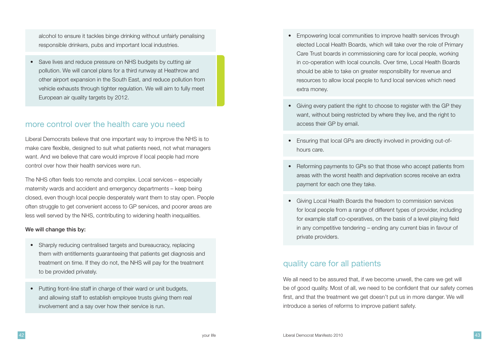alcohol to ensure it tackles binge drinking without unfairly penalising responsible drinkers, pubs and important local industries.

• Save lives and reduce pressure on NHS budgets by cutting air pollution. We will cancel plans for a third runway at Heathrow and other airport expansion in the South East, and reduce pollution from vehicle exhausts through tighter regulation. We will aim to fully meet European air quality targets by 2012.

### more control over the health care you need

Liberal Democrats believe that one important way to improve the NHS is to make care flexible, designed to suit what patients need, not what managers want. And we believe that care would improve if local people had more control over how their health services were run.

The NHS often feels too remote and complex. Local services – especially maternity wards and accident and emergency departments – keep being closed, even though local people desperately want them to stay open. People often struggle to get convenient access to GP services, and poorer areas are less well served by the NHS, contributing to widening health inequalities.

#### **We will change this by:**

- Sharply reducing centralised targets and bureaucracy, replacing them with entitlements guaranteeing that patients get diagnosis and treatment on time. If they do not, the NHS will pay for the treatment to be provided privately.
- Putting front-line staff in charge of their ward or unit budgets, and allowing staff to establish employee trusts giving them real involvement and a say over how their service is run.
- Empowering local communities to improve health services through elected Local Health Boards, which will take over the role of Primary Care Trust boards in commissioning care for local people, working in co-operation with local councils. Over time, Local Health Boards should be able to take on greater responsibility for revenue and resources to allow local people to fund local services which need extra money.
- Giving every patient the right to choose to register with the GP they want, without being restricted by where they live, and the right to access their GP by email.
- Ensuring that local GPs are directly involved in providing out-ofhours care.
- Reforming payments to GPs so that those who accept patients from areas with the worst health and deprivation scores receive an extra payment for each one they take.
- Giving Local Health Boards the freedom to commission services for local people from a range of different types of provider, including for example staff co-operatives, on the basis of a level playing field in any competitive tendering – ending any current bias in favour of private providers.

### quality care for all patients

We all need to be assured that, if we become unwell, the care we get will be of good quality. Most of all, we need to be confident that our safety comes first, and that the treatment we get doesn't put us in more danger. We will introduce a series of reforms to improve patient safety.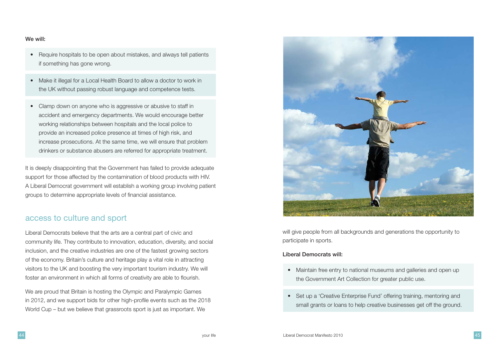#### **We will:**

- Require hospitals to be open about mistakes, and always tell patients if something has gone wrong.
- Make it illegal for a Local Health Board to allow a doctor to work in the UK without passing robust language and competence tests.
- Clamp down on anyone who is aggressive or abusive to staff in accident and emergency departments. We would encourage better working relationships between hospitals and the local police to provide an increased police presence at times of high risk, and increase prosecutions. At the same time, we will ensure that problem drinkers or substance abusers are referred for appropriate treatment.

It is deeply disappointing that the Government has failed to provide adequate support for those affected by the contamination of blood products with HIV. A Liberal Democrat government will establish a working group involving patient groups to determine appropriate levels of financial assistance.

### access to culture and sport

Liberal Democrats believe that the arts are a central part of civic and community life. They contribute to innovation, education, diversity, and social inclusion, and the creative industries are one of the fastest growing sectors of the economy. Britain's culture and heritage play a vital role in attracting visitors to the UK and boosting the very important tourism industry. We will foster an environment in which all forms of creativity are able to flourish.

We are proud that Britain is hosting the Olympic and Paralympic Games in 2012, and we support bids for other high-profile events such as the 2018 World Cup – but we believe that grassroots sport is just as important. We



will give people from all backgrounds and generations the opportunity to participate in sports.

#### **Liberal Democrats will:**

- Maintain free entry to national museums and galleries and open up the Government Art Collection for greater public use.
- Set up a 'Creative Enterprise Fund' offering training, mentoring and small grants or loans to help creative businesses get off the ground.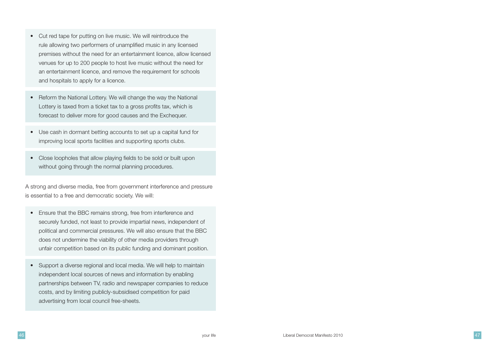- Cut red tape for putting on live music. We will reintroduce the rule allowing two performers of unamplified music in any licensed premises without the need for an entertainment licence, allow licensed venues for up to 200 people to host live music without the need for an entertainment licence, and remove the requirement for schools and hospitals to apply for a licence.
- Reform the National Lottery. We will change the way the National Lottery is taxed from a ticket tax to a gross profits tax, which is forecast to deliver more for good causes and the Exchequer.
- Use cash in dormant betting accounts to set up a capital fund for improving local sports facilities and supporting sports clubs.
- Close loopholes that allow playing fields to be sold or built upon without going through the normal planning procedures.

A strong and diverse media, free from government interference and pressure is essential to a free and democratic society. We will:

- Ensure that the BBC remains strong, free from interference and securely funded, not least to provide impartial news, independent of political and commercial pressures. We will also ensure that the BBC does not undermine the viability of other media providers through unfair competition based on its public funding and dominant position.
- Support a diverse regional and local media. We will help to maintain independent local sources of news and information by enabling partnerships between TV, radio and newspaper companies to reduce costs, and by limiting publicly-subsidised competition for paid advertising from local council free-sheets.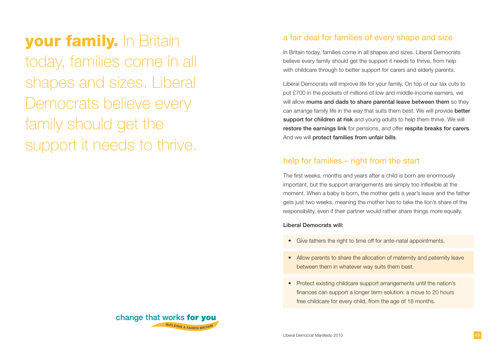**your family.** In Britain today, families come in all shapes and sizes. Liberal Democrats believe every family should get the support it needs to thrive.



## a fair deal for families of every shape and size

In Britain today, families come in all shapes and sizes. Liberal Democrats believe every family should get the support it needs to thrive, from help with childcare through to better support for carers and elderly parents.

Liberal Democrats will improve life for your family. On top of our tax cuts to put £700 in the pockets of millions of low and middle-income earners, we will allow **mums and dads to share parental leave between them** so they can arrange family life in the way that suits them best. We will provide **better support for children at risk** and young adults to help them thrive. We will **restore the earnings link** for pensions, and offer **respite breaks for carers**. And we will **protect families from unfair bills**.

## help for families – right from the start

The first weeks, months and years after a child is born are enormously important, but the support arrangements are simply too inflexible at the moment. When a baby is born, the mother gets a year's leave and the father gets just two weeks, meaning the mother has to take the lion's share of the responsibility, even if their partner would rather share things more equally.

#### **Liberal Democrats will:**

- Give fathers the right to time off for ante-natal appointments.
- Allow parents to share the allocation of maternity and paternity leave between them in whatever way suits them best.
- Protect existing childcare support arrangements until the nation's finances can support a longer term solution: a move to 20 hours free childcare for every child, from the age of 18 months.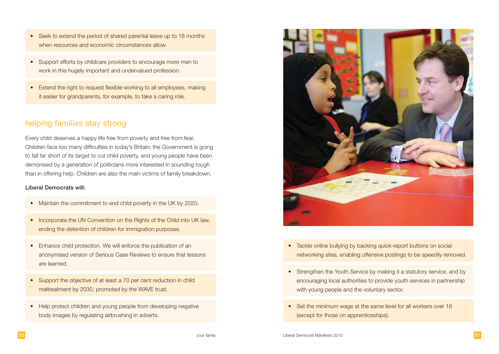- Seek to extend the period of shared parental leave up to 18 months when resources and economic circumstances allow.
- Support efforts by childcare providers to encourage more men to work in this hugely important and undervalued profession.
- Extend the right to request flexible working to all employees, making it easier for grandparents, for example, to take a caring role.

## helping families stay strong

Every child deserves a happy life free from poverty and free from fear. Children face too many difficulties in today's Britain; the Government is going to fall far short of its target to cut child poverty, and young people have been demonised by a generation of politicians more interested in sounding tough than in offering help. Children are also the main victims of family breakdown.

#### **Liberal Democrats will:**

- Maintain the commitment to end child poverty in the UK by 2020.
- Incorporate the UN Convention on the Rights of the Child into UK law, ending the detention of children for immigration purposes.
- Enhance child protection. We will enforce the publication of an anonymised version of Serious Case Reviews to ensure that lessons are learned.
- Support the objective of at least a 70 per cent reduction in child maltreatment by 2030, promoted by the WAVE trust.
- Help protect children and young people from developing negative body images by regulating airbrushing in adverts.



- Tackle online bullying by backing quick-report buttons on social networking sites, enabling offensive postings to be speedily removed.
- Strengthen the Youth Service by making it a statutory service, and by encouraging local authorities to provide youth services in partnership with young people and the voluntary sector.
- Set the minimum wage at the same level for all workers over 16 (except for those on apprenticeships).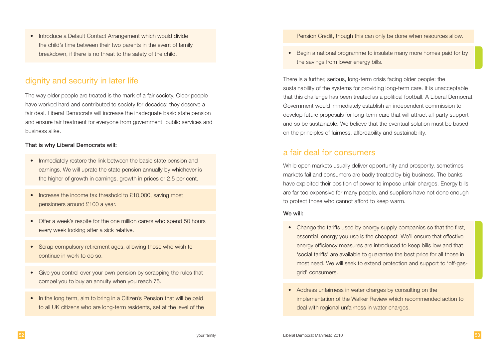• Introduce a Default Contact Arrangement which would divide the child's time between their two parents in the event of family breakdown, if there is no threat to the safety of the child.

### dignity and security in later life

The way older people are treated is the mark of a fair society. Older people have worked hard and contributed to society for decades; they deserve a fair deal. Liberal Democrats will increase the inadequate basic state pension and ensure fair treatment for everyone from government, public services and business alike.

#### **That is why Liberal Democrats will:**

- Immediately restore the link between the basic state pension and earnings. We will uprate the state pension annually by whichever is the higher of growth in earnings, growth in prices or 2.5 per cent.
- Increase the income tax threshold to £10,000, saving most pensioners around £100 a year.
- Offer a week's respite for the one million carers who spend 50 hours every week looking after a sick relative.
- Scrap compulsory retirement ages, allowing those who wish to continue in work to do so.
- Give you control over your own pension by scrapping the rules that compel you to buy an annuity when you reach 75.
- In the long term, aim to bring in a Citizen's Pension that will be paid to all UK citizens who are long-term residents, set at the level of the

#### Pension Credit, though this can only be done when resources allow.

• Begin a national programme to insulate many more homes paid for by the savings from lower energy bills.

There is a further, serious, long-term crisis facing older people: the sustainability of the systems for providing long-term care. It is unacceptable that this challenge has been treated as a political football. A Liberal Democrat Government would immediately establish an independent commission to develop future proposals for long-term care that will attract all-party support and so be sustainable. We believe that the eventual solution must be based on the principles of fairness, affordability and sustainability.

## a fair deal for consumers

While open markets usually deliver opportunity and prosperity, sometimes markets fail and consumers are badly treated by big business. The banks have exploited their position of power to impose unfair charges. Energy bills are far too expensive for many people, and suppliers have not done enough to protect those who cannot afford to keep warm.

#### **We will:**

- Change the tariffs used by energy supply companies so that the first, essential, energy you use is the cheapest. We'll ensure that effective energy efficiency measures are introduced to keep bills low and that 'social tariffs' are available to guarantee the best price for all those in most need. We will seek to extend protection and support to 'off-gasgrid' consumers.
- Address unfairness in water charges by consulting on the implementation of the Walker Review which recommended action to deal with regional unfairness in water charges.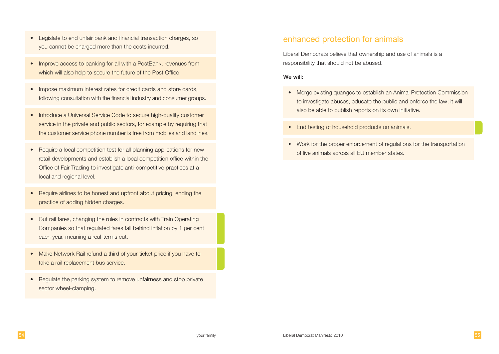- Legislate to end unfair bank and financial transaction charges, so you cannot be charged more than the costs incurred.
- Improve access to banking for all with a PostBank, revenues from which will also help to secure the future of the Post Office.
- Impose maximum interest rates for credit cards and store cards, following consultation with the financial industry and consumer groups.
- Introduce a Universal Service Code to secure high-quality customer service in the private and public sectors, for example by requiring that the customer service phone number is free from mobiles and landlines.
- Require a local competition test for all planning applications for new retail developments and establish a local competition office within the Office of Fair Trading to investigate anti-competitive practices at a local and regional level.
- Require airlines to be honest and upfront about pricing, ending the practice of adding hidden charges.
- Cut rail fares, changing the rules in contracts with Train Operating Companies so that regulated fares fall behind inflation by 1 per cent each year, meaning a real-terms cut.
- Make Network Rail refund a third of your ticket price if you have to take a rail replacement bus service.
- Regulate the parking system to remove unfairness and stop private sector wheel-clamping.

## enhanced protection for animals

Liberal Democrats believe that ownership and use of animals is a responsibility that should not be abused.

#### **We will:**

- Merge existing quangos to establish an Animal Protection Commission to investigate abuses, educate the public and enforce the law; it will also be able to publish reports on its own initiative.
- End testing of household products on animals.
- Work for the proper enforcement of regulations for the transportation of live animals across all EU member states.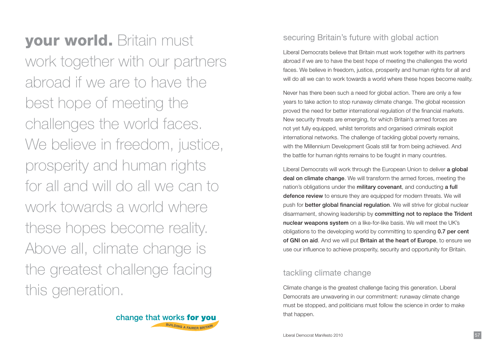**your world.** Britain must work together with our partners abroad if we are to have the best hope of meeting the challenges the world faces. We believe in freedom, justice, prosperity and human rights for all and will do all we can to work towards a world where these hopes become reality. Above all, climate change is the greatest challenge facing this generation.



# securing Britain's future with global action

Liberal Democrats believe that Britain must work together with its partners abroad if we are to have the best hope of meeting the challenges the world faces. We believe in freedom, justice, prosperity and human rights for all and will do all we can to work towards a world where these hopes become reality.

Never has there been such a need for global action. There are only a few years to take action to stop runaway climate change. The global recession proved the need for better international regulation of the financial markets. New security threats are emerging, for which Britain's armed forces are not yet fully equipped, whilst terrorists and organised criminals exploit international networks. The challenge of tackling global poverty remains, with the Millennium Development Goals still far from being achieved. And the battle for human rights remains to be fought in many countries.

Liberal Democrats will work through the European Union to deliver **a global deal on climate change**. We will transform the armed forces, meeting the nation's obligations under the **military covenant**, and conducting **a full defence review** to ensure they are equipped for modern threats. We will push for **better global financial regulation**. We will strive for global nuclear disarmament, showing leadership by **committing not to replace the Trident nuclear weapons system** on a like-for-like basis. We will meet the UK's obligations to the developing world by committing to spending **0.7 per cent of GNI on aid**. And we will put **Britain at the heart of Europe**, to ensure we use our influence to achieve prosperity, security and opportunity for Britain.

# tackling climate change

Climate change is the greatest challenge facing this generation. Liberal Democrats are unwavering in our commitment: runaway climate change must be stopped, and politicians must follow the science in order to make that happen.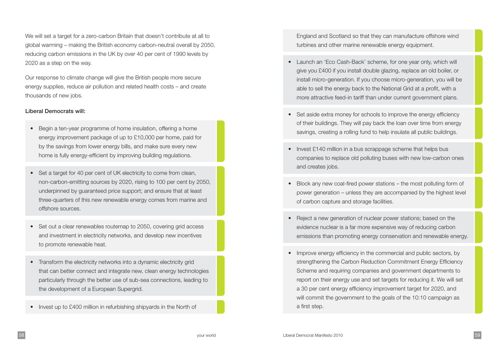We will set a target for a zero-carbon Britain that doesn't contribute at all to global warming – making the British economy carbon-neutral overall by 2050, reducing carbon emissions in the UK by over 40 per cent of 1990 levels by 2020 as a step on the way.

Our response to climate change will give the British people more secure energy supplies, reduce air pollution and related health costs – and create thousands of new jobs.

#### **Liberal Democrats will:**

- Begin a ten-year programme of home insulation, offering a home energy improvement package of up to £10,000 per home, paid for by the savings from lower energy bills, and make sure every new home is fully energy-efficient by improving building regulations.
- Set a target for 40 per cent of UK electricity to come from clean, non-carbon-emitting sources by 2020, rising to 100 per cent by 2050, underpinned by guaranteed price support; and ensure that at least three-quarters of this new renewable energy comes from marine and offshore sources.

• Set out a clear renewables routemap to 2050, covering grid access and investment in electricity networks, and develop new incentives to promote renewable heat.

- Transform the electricity networks into a dynamic electricity grid that can better connect and integrate new, clean energy technologies particularly through the better use of sub-sea connections, leading to the development of a European Supergrid.
- Invest up to £400 million in refurbishing shipyards in the North of

England and Scotland so that they can manufacture offshore wind turbines and other marine renewable energy equipment.

- Launch an 'Eco Cash-Back' scheme, for one year only, which will give you £400 if you install double glazing, replace an old boiler, or install micro-generation. If you choose micro-generation, you will be able to sell the energy back to the National Grid at a profit, with a more attractive feed-in tariff than under current government plans.
- Set aside extra money for schools to improve the energy efficiency of their buildings. They will pay back the loan over time from energy savings, creating a rolling fund to help insulate all public buildings.
- Invest £140 million in a bus scrappage scheme that helps bus companies to replace old polluting buses with new low-carbon ones and creates jobs.
- $\bullet$  Block any new coal-fired power stations the most polluting form of power generation – unless they are accompanied by the highest level of carbon capture and storage facilities.
- Reject a new generation of nuclear power stations; based on the evidence nuclear is a far more expensive way of reducing carbon emissions than promoting energy conservation and renewable energy.
- Improve energy efficiency in the commercial and public sectors, by strengthening the Carbon Reduction Commitment Energy Efficiency Scheme and requiring companies and government departments to report on their energy use and set targets for reducing it. We will set a 30 per cent energy efficiency improvement target for 2020, and will commit the government to the goals of the 10:10 campaign as a first step.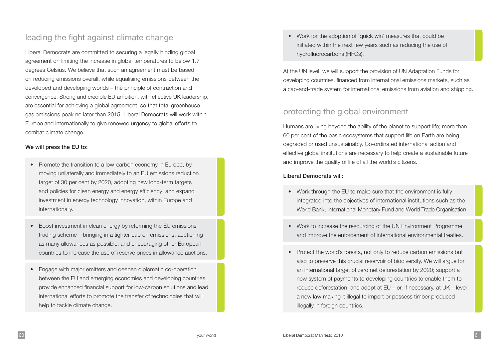# leading the fight against climate change

Liberal Democrats are committed to securing a legally binding global agreement on limiting the increase in global temperatures to below 1.7 degrees Celsius. We believe that such an agreement must be based on reducing emissions overall, while equalising emissions between the developed and developing worlds – the principle of contraction and convergence. Strong and credible EU ambition, with effective UK leadership, are essential for achieving a global agreement, so that total greenhouse gas emissions peak no later than 2015. Liberal Democrats will work within Europe and internationally to give renewed urgency to global efforts to combat climate change.

#### **We will press the EU to:**

- Promote the transition to a low-carbon economy in Europe, by moving unilaterally and immediately to an EU emissions reduction target of 30 per cent by 2020, adopting new long-term targets and policies for clean energy and energy efficiency; and expand investment in energy technology innovation, within Europe and internationally.
- Boost investment in clean energy by reforming the EU emissions trading scheme – bringing in a tighter cap on emissions, auctioning as many allowances as possible, and encouraging other European countries to increase the use of reserve prices in allowance auctions.
- Engage with major emitters and deepen diplomatic co-operation between the EU and emerging economies and developing countries, provide enhanced financial support for low-carbon solutions and lead international efforts to promote the transfer of technologies that will help to tackle climate change.

• Work for the adoption of 'quick win' measures that could be initiated within the next few years such as reducing the use of hydrofluorocarbons (HFCs).

At the UN level, we will support the provision of UN Adaptation Funds for developing countries, financed from international emissions markets, such as a cap-and-trade system for international emissions from aviation and shipping.

# protecting the global environment

Humans are living beyond the ability of the planet to support life; more than 60 per cent of the basic ecosystems that support life on Earth are being degraded or used unsustainably. Co-ordinated international action and effective global institutions are necessary to help create a sustainable future and improve the quality of life of all the world's citizens.

#### **Liberal Democrats will:**

- Work through the EU to make sure that the environment is fully integrated into the objectives of international institutions such as the World Bank, International Monetary Fund and World Trade Organisation.
- Work to increase the resourcing of the UN Environment Programme and improve the enforcement of international environmental treaties.
- Protect the world's forests, not only to reduce carbon emissions but also to preserve this crucial reservoir of biodiversity. We will argue for an international target of zero net deforestation by 2020; support a new system of payments to developing countries to enable them to reduce deforestation; and adopt at EU – or, if necessary, at UK – level a new law making it illegal to import or possess timber produced illegally in foreign countries.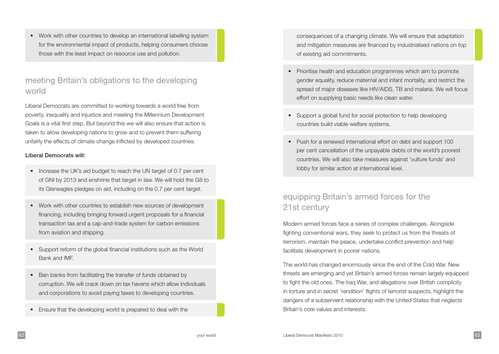• Work with other countries to develop an international labelling system for the environmental impact of products, helping consumers choose those with the least impact on resource use and pollution.

# meeting Britain's obligations to the developing world

Liberal Democrats are committed to working towards a world free from poverty, inequality and injustice and meeting the Millennium Development Goals is a vital first step. But beyond this we will also ensure that action is taken to allow developing nations to grow and to prevent them suffering unfairly the effects of climate change inflicted by developed countries.

#### **Liberal Democrats will:**

- Increase the UK's aid budget to reach the UN target of 0.7 per cent of GNI by 2013 and enshrine that target in law. We will hold the G8 to its Gleneagles pledges on aid, including on the 0.7 per cent target.
- Work with other countries to establish new sources of development financing, including bringing forward urgent proposals for a financial transaction tax and a cap-and-trade system for carbon emissions from aviation and shipping.
- Support reform of the global financial institutions such as the World Bank and IMF.
- Ban banks from facilitating the transfer of funds obtained by corruption. We will crack down on tax havens which allow individuals and corporations to avoid paying taxes to developing countries.
- Ensure that the developing world is prepared to deal with the

consequences of a changing climate. We will ensure that adaptation and mitigation measures are financed by industrialised nations on top of existing aid commitments.

- Prioritise health and education programmes which aim to promote gender equality, reduce maternal and infant mortality, and restrict the spread of major diseases like HIV/AIDS, TB and malaria. We will focus effort on supplying basic needs like clean water.
- Support a global fund for social protection to help developing countries build viable welfare systems.
- Push for a renewed international effort on debt and support 100 per cent cancellation of the unpayable debts of the world's poorest countries. We will also take measures against 'vulture funds' and lobby for similar action at international level.

# equipping Britain's armed forces for the 21st century

Modern armed forces face a series of complex challenges. Alongside fighting conventional wars, they seek to protect us from the threats of terrorism, maintain the peace, undertake conflict prevention and help facilitate development in poorer nations.

The world has changed enormously since the end of the Cold War. New threats are emerging and yet Britain's armed forces remain largely equipped to fight the old ones. The Iraq War, and allegations over British complicity in torture and in secret 'rendition' flights of terrorist suspects, highlight the dangers of a subservient relationship with the United States that neglects Britain's core values and interests.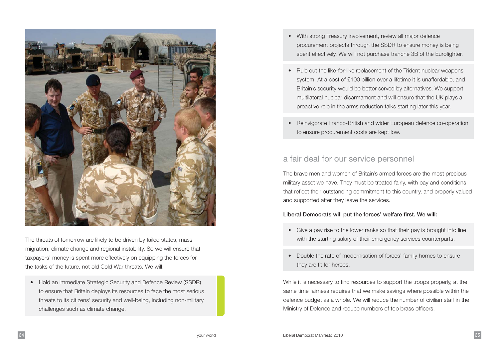

The threats of tomorrow are likely to be driven by failed states, mass migration, climate change and regional instability. So we will ensure that taxpayers' money is spent more effectively on equipping the forces for the tasks of the future, not old Cold War threats. We will:

• Hold an immediate Strategic Security and Defence Review (SSDR) to ensure that Britain deploys its resources to face the most serious threats to its citizens' security and well-being, including non-military challenges such as climate change.

- With strong Treasury involvement, review all major defence procurement projects through the SSDR to ensure money is being spent effectively. We will not purchase tranche 3B of the Eurofighter.
- Rule out the like-for-like replacement of the Trident nuclear weapons system. At a cost of £100 billion over a lifetime it is unaffordable, and Britain's security would be better served by alternatives. We support multilateral nuclear disarmament and will ensure that the UK plays a proactive role in the arms reduction talks starting later this year.
- Reinvigorate Franco-British and wider European defence co-operation to ensure procurement costs are kept low.

### a fair deal for our service personnel

The brave men and women of Britain's armed forces are the most precious military asset we have. They must be treated fairly, with pay and conditions that reflect their outstanding commitment to this country, and properly valued and supported after they leave the services.

#### Liberal Democrats will put the forces' welfare first. We will:

- Give a pay rise to the lower ranks so that their pay is brought into line with the starting salary of their emergency services counterparts.
- Double the rate of modernisation of forces' family homes to ensure they are fit for heroes.

While it is necessary to find resources to support the troops properly, at the same time fairness requires that we make savings where possible within the defence budget as a whole. We will reduce the number of civilian staff in the Ministry of Defence and reduce numbers of top brass officers.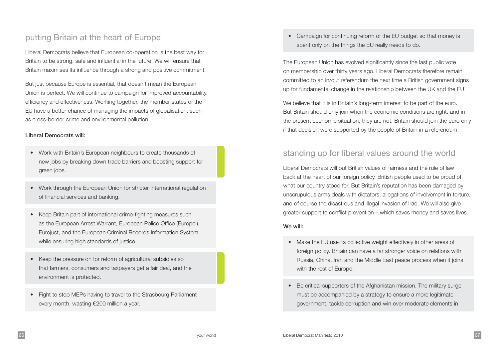# putting Britain at the heart of Europe

Liberal Democrats believe that European co-operation is the best way for Britain to be strong, safe and influential in the future. We will ensure that Britain maximises its influence through a strong and positive commitment.

But just because Europe is essential, that doesn't mean the European Union is perfect. We will continue to campaign for improved accountability, efficiency and effectiveness. Working together, the member states of the EU have a better chance of managing the impacts of globalisation, such as cross-border crime and environmental pollution.

#### **Liberal Democrats will:**

- Work with Britain's European neighbours to create thousands of new jobs by breaking down trade barriers and boosting support for green jobs.
- Work through the European Union for stricter international regulation of financial services and banking.
- Keep Britain part of international crime-fighting measures such as the European Arrest Warrant, European Police Office (Europol), Eurojust, and the European Criminal Records Information System, while ensuring high standards of justice.
- Keep the pressure on for reform of agricultural subsidies so that farmers, consumers and taxpayers get a fair deal, and the environment is protected.
- Fight to stop MEPs having to travel to the Strasbourg Parliament every month, wasting €200 million a year.

• Campaign for continuing reform of the EU budget so that money is spent only on the things the EU really needs to do.

The European Union has evolved significantly since the last public vote on membership over thirty years ago. Liberal Democrats therefore remain committed to an in/out referendum the next time a British government signs up for fundamental change in the relationship between the UK and the EU.

We believe that it is in Britain's long-term interest to be part of the euro. But Britain should only join when the economic conditions are right, and in the present economic situation, they are not. Britain should join the euro only if that decision were supported by the people of Britain in a referendum.

## standing up for liberal values around the world

Liberal Democrats will put British values of fairness and the rule of law back at the heart of our foreign policy. British people used to be proud of what our country stood for. But Britain's reputation has been damaged by unscrupulous arms deals with dictators, allegations of involvement in torture, and of course the disastrous and illegal invasion of Iraq. We will also give greater support to conflict prevention – which saves money and saves lives.

#### **We will:**

- Make the EU use its collective weight effectively in other areas of foreign policy. Britain can have a far stronger voice on relations with Russia, China, Iran and the Middle East peace process when it joins with the rest of Europe.
- Be critical supporters of the Afghanistan mission. The military surge must be accompanied by a strategy to ensure a more legitimate government, tackle corruption and win over moderate elements in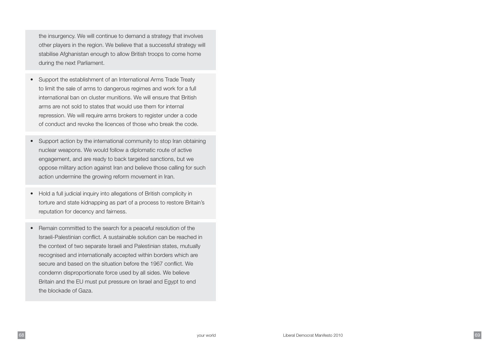the insurgency. We will continue to demand a strategy that involves other players in the region. We believe that a successful strategy will stabilise Afghanistan enough to allow British troops to come home during the next Parliament.

- Support the establishment of an International Arms Trade Treaty to limit the sale of arms to dangerous regimes and work for a full international ban on cluster munitions. We will ensure that British arms are not sold to states that would use them for internal repression. We will require arms brokers to register under a code of conduct and revoke the licences of those who break the code.
- Support action by the international community to stop Iran obtaining nuclear weapons. We would follow a diplomatic route of active engagement, and are ready to back targeted sanctions, but we oppose military action against Iran and believe those calling for such action undermine the growing reform movement in Iran.
- Hold a full judicial inquiry into allegations of British complicity in torture and state kidnapping as part of a process to restore Britain's reputation for decency and fairness.
- Remain committed to the search for a peaceful resolution of the Israeli-Palestinian conflict. A sustainable solution can be reached in the context of two separate Israeli and Palestinian states, mutually recognised and internationally accepted within borders which are secure and based on the situation before the 1967 conflict. We condemn disproportionate force used by all sides. We believe Britain and the EU must put pressure on Israel and Egypt to end the blockade of Gaza.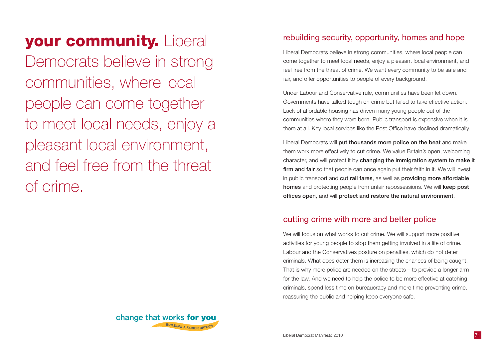# **your community.** Liberal

Democrats believe in strong communities, where local people can come together to meet local needs, enjoy a pleasant local environment, and feel free from the threat of crime.

# rebuilding security, opportunity, homes and hope

Liberal Democrats believe in strong communities, where local people can come together to meet local needs, enjoy a pleasant local environment, and feel free from the threat of crime. We want every community to be safe and fair, and offer opportunities to people of every background.

Under Labour and Conservative rule, communities have been let down. Governments have talked tough on crime but failed to take effective action. Lack of affordable housing has driven many young people out of the communities where they were born. Public transport is expensive when it is there at all. Key local services like the Post Office have declined dramatically.

Liberal Democrats will **put thousands more police on the beat** and make them work more effectively to cut crime. We value Britain's open, welcoming character, and will protect it by **changing the immigration system to make it firm and fair** so that people can once again put their faith in it. We will invest in public transport and **cut rail fares**, as well as **providing more affordable homes** and protecting people from unfair repossessions. We will **keep post offices open**, and will **protect and restore the natural environment**.

# cutting crime with more and better police

We will focus on what works to cut crime. We will support more positive activities for young people to stop them getting involved in a life of crime. Labour and the Conservatives posture on penalties, which do not deter criminals. What does deter them is increasing the chances of being caught. That is why more police are needed on the streets – to provide a longer arm for the law. And we need to help the police to be more effective at catching criminals, spend less time on bureaucracy and more time preventing crime, reassuring the public and helping keep everyone safe.

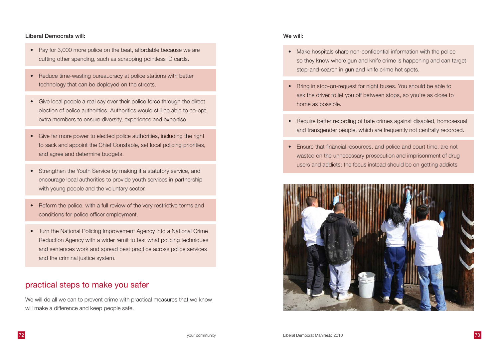#### **Liberal Democrats will:**

- Pay for 3,000 more police on the beat, affordable because we are cutting other spending, such as scrapping pointless ID cards.
- Reduce time-wasting bureaucracy at police stations with better technology that can be deployed on the streets.
- Give local people a real say over their police force through the direct election of police authorities. Authorities would still be able to co-opt extra members to ensure diversity, experience and expertise.
- Give far more power to elected police authorities, including the right to sack and appoint the Chief Constable, set local policing priorities, and agree and determine budgets.
- Strengthen the Youth Service by making it a statutory service, and encourage local authorities to provide youth services in partnership with young people and the voluntary sector.
- Reform the police, with a full review of the very restrictive terms and conditions for police officer employment.
- Turn the National Policing Improvement Agency into a National Crime Reduction Agency with a wider remit to test what policing techniques and sentences work and spread best practice across police services and the criminal justice system.

## practical steps to make you safer

We will do all we can to prevent crime with practical measures that we know will make a difference and keep people safe.

#### **We will:**

- Make hospitals share non-confidential information with the police so they know where gun and knife crime is happening and can target stop-and-search in gun and knife crime hot spots.
- Bring in stop-on-request for night buses. You should be able to ask the driver to let you off between stops, so you're as close to home as possible.
- Require better recording of hate crimes against disabled, homosexual and transgender people, which are frequently not centrally recorded.
- Ensure that financial resources, and police and court time, are not wasted on the unnecessary prosecution and imprisonment of drug users and addicts; the focus instead should be on getting addicts

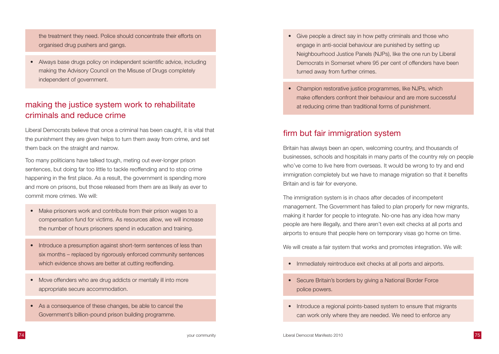the treatment they need. Police should concentrate their efforts on organised drug pushers and gangs.

• Always base drugs policy on independent scientific advice, including making the Advisory Council on the Misuse of Drugs completely independent of government.

# making the justice system work to rehabilitate criminals and reduce crime

Liberal Democrats believe that once a criminal has been caught, it is vital that the punishment they are given helps to turn them away from crime, and set them back on the straight and narrow.

Too many politicians have talked tough, meting out ever-longer prison sentences, but doing far too little to tackle reoffending and to stop crime happening in the first place. As a result, the government is spending more and more on prisons, but those released from them are as likely as ever to commit more crimes. We will:

- Make prisoners work and contribute from their prison wages to a compensation fund for victims. As resources allow, we will increase the number of hours prisoners spend in education and training.
- Introduce a presumption against short-term sentences of less than six months – replaced by rigorously enforced community sentences which evidence shows are better at cutting reoffending.
- Move offenders who are drug addicts or mentally ill into more appropriate secure accommodation.
- As a consequence of these changes, be able to cancel the Government's billion-pound prison building programme.
- Give people a direct say in how petty criminals and those who engage in anti-social behaviour are punished by setting up Neighbourhood Justice Panels (NJPs), like the one run by Liberal Democrats in Somerset where 95 per cent of offenders have been turned away from further crimes.
- Champion restorative justice programmes, like NJPs, which make offenders confront their behaviour and are more successful at reducing crime than traditional forms of punishment.

# firm but fair immigration system

Britain has always been an open, welcoming country, and thousands of businesses, schools and hospitals in many parts of the country rely on people who've come to live here from overseas. It would be wrong to try and end immigration completely but we have to manage migration so that it benefits Britain and is fair for everyone.

The immigration system is in chaos after decades of incompetent management. The Government has failed to plan properly for new migrants, making it harder for people to integrate. No-one has any idea how many people are here illegally, and there aren't even exit checks at all ports and airports to ensure that people here on temporary visas go home on time.

We will create a fair system that works and promotes integration. We will:

- Immediately reintroduce exit checks at all ports and airports.
- Secure Britain's borders by giving a National Border Force police powers.
- Introduce a regional points-based system to ensure that migrants can work only where they are needed. We need to enforce any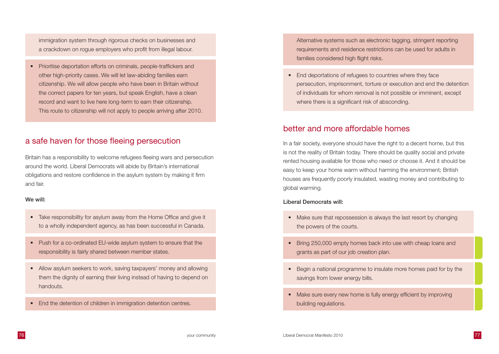immigration system through rigorous checks on businesses and a crackdown on roque employers who profit from illegal labour.

• Prioritise deportation efforts on criminals, people-traffickers and other high-priority cases. We will let law-abiding families earn citizenship. We will allow people who have been in Britain without the correct papers for ten years, but speak English, have a clean record and want to live here long-term to earn their citizenship. This route to citizenship will not apply to people arriving after 2010.

### a safe haven for those fleeing persecution

Britain has a responsibility to welcome refugees fleeing wars and persecution around the world. Liberal Democrats will abide by Britain's international obligations and restore confidence in the asylum system by making it firm and fair.

#### **We will:**

- Take responsibility for asylum away from the Home Office and give it to a wholly independent agency, as has been successful in Canada.
- Push for a co-ordinated EU-wide asylum system to ensure that the responsibility is fairly shared between member states.
- Allow asylum seekers to work, saving taxpayers' money and allowing them the dignity of earning their living instead of having to depend on handouts.
- End the detention of children in immigration detention centres.

Alternative systems such as electronic tagging, stringent reporting requirements and residence restrictions can be used for adults in families considered high flight risks.

• End deportations of refugees to countries where they face persecution, imprisonment, torture or execution and end the detention of individuals for whom removal is not possible or imminent, except where there is a significant risk of absconding.

### better and more affordable homes

In a fair society, everyone should have the right to a decent home, but this is not the reality of Britain today. There should be quality social and private rented housing available for those who need or choose it. And it should be easy to keep your home warm without harming the environment; British houses are frequently poorly insulated, wasting money and contributing to global warming.

#### **Liberal Democrats will:**

- Make sure that repossession is always the last resort by changing the powers of the courts.
- Bring 250,000 empty homes back into use with cheap loans and grants as part of our job creation plan.
- Begin a national programme to insulate more homes paid for by the savings from lower energy bills.
- Make sure every new home is fully energy efficient by improving building regulations.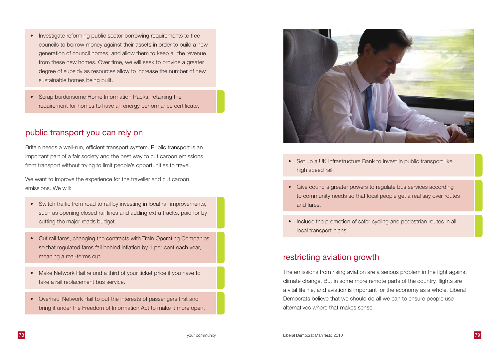- Investigate reforming public sector borrowing requirements to free councils to borrow money against their assets in order to build a new generation of council homes, and allow them to keep all the revenue from these new homes. Over time, we will seek to provide a greater degree of subsidy as resources allow to increase the number of new sustainable homes being built.
- Scrap burdensome Home Information Packs, retaining the requirement for homes to have an energy performance certificate.

### public transport you can rely on

Britain needs a well-run, efficient transport system. Public transport is an important part of a fair society and the best way to cut carbon emissions from transport without trying to limit people's opportunities to travel.

We want to improve the experience for the traveller and cut carbon emissions. We will:

- Switch traffic from road to rail by investing in local rail improvements, such as opening closed rail lines and adding extra tracks, paid for by cutting the major roads budget.
- Cut rail fares, changing the contracts with Train Operating Companies so that regulated fares fall behind inflation by 1 per cent each year, meaning a real-terms cut.
- Make Network Rail refund a third of your ticket price if you have to take a rail replacement bus service.
- Overhaul Network Rail to put the interests of passengers first and bring it under the Freedom of Information Act to make it more open.



- Set up a UK Infrastructure Bank to invest in public transport like high speed rail.
- Give councils greater powers to regulate bus services according to community needs so that local people get a real say over routes and fares.
- Include the promotion of safer cycling and pedestrian routes in all local transport plans.

### restricting aviation growth

The emissions from rising aviation are a serious problem in the fight against climate change. But in some more remote parts of the country, flights are a vital lifeline, and aviation is important for the economy as a whole. Liberal Democrats believe that we should do all we can to ensure people use alternatives where that makes sense.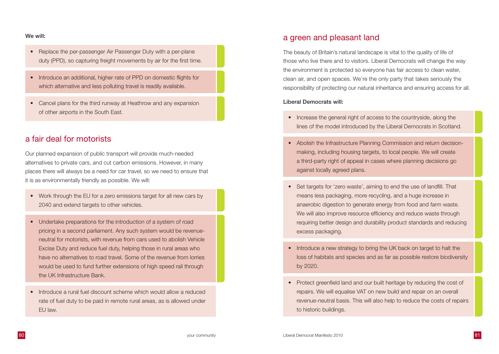#### **We will:**

- Replace the per-passenger Air Passenger Duty with a per-plane duty (PPD), so capturing freight movements by air for the first time.
- Introduce an additional, higher rate of PPD on domestic flights for which alternative and less polluting travel is readily available.
- Cancel plans for the third runway at Heathrow and any expansion of other airports in the South East.

### a fair deal for motorists

Our planned expansion of public transport will provide much-needed alternatives to private cars, and cut carbon emissions. However, in many places there will always be a need for car travel, so we need to ensure that it is as environmentally friendly as possible. We will:

- Work through the EU for a zero emissions target for all new cars by 2040 and extend targets to other vehicles.
- Undertake preparations for the introduction of a system of road pricing in a second parliament. Any such system would be revenueneutral for motorists, with revenue from cars used to abolish Vehicle Excise Duty and reduce fuel duty, helping those in rural areas who have no alternatives to road travel. Some of the revenue from lorries would be used to fund further extensions of high speed rail through the UK Infrastructure Bank.
- Introduce a rural fuel discount scheme which would allow a reduced rate of fuel duty to be paid in remote rural areas, as is allowed under EU law.

## a green and pleasant land

The beauty of Britain's natural landscape is vital to the quality of life of those who live there and to visitors. Liberal Democrats will change the way the environment is protected so everyone has fair access to clean water, clean air, and open spaces. We're the only party that takes seriously the responsibility of protecting our natural inheritance and ensuring access for all.

#### **Liberal Democrats will:**

- Increase the general right of access to the countryside, along the lines of the model introduced by the Liberal Democrats in Scotland.
- Abolish the Infrastructure Planning Commission and return decisionmaking, including housing targets, to local people. We will create a third-party right of appeal in cases where planning decisions go against locally agreed plans.
- Set targets for 'zero waste', aiming to end the use of landfill. That means less packaging, more recycling, and a huge increase in anaerobic digestion to generate energy from food and farm waste. We will also improve resource efficiency and reduce waste through requiring better design and durability product standards and reducing excess packaging.
- Introduce a new strategy to bring the UK back on target to halt the loss of habitats and species and as far as possible restore biodiversity by 2020.
- Protect greenfield land and our built heritage by reducing the cost of repairs. We will equalise VAT on new build and repair on an overall revenue-neutral basis. This will also help to reduce the costs of repairs to historic buildings.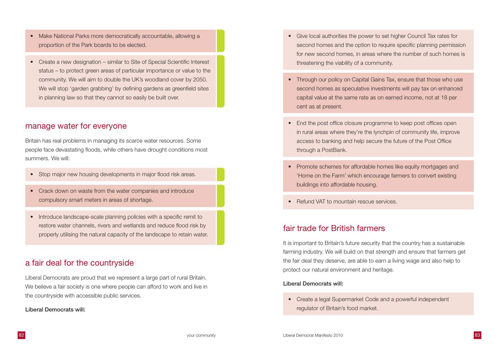- Make National Parks more democratically accountable, allowing a proportion of the Park boards to be elected.
- Create a new designation similar to Site of Special Scientific Interest status – to protect green areas of particular importance or value to the community. We will aim to double the UK's woodland cover by 2050. We will stop 'garden grabbing' by defining gardens as greenfield sites in planning law so that they cannot so easily be built over.

### manage water for everyone

Britain has real problems in managing its scarce water resources. Some people face devastating floods, while others have drought conditions most summers. We will:

- Stop major new housing developments in major flood risk areas.
- Crack down on waste from the water companies and introduce compulsory smart meters in areas of shortage.

• Introduce landscape-scale planning policies with a specific remit to restore water channels, rivers and wetlands and reduce flood risk by properly utilising the natural capacity of the landscape to retain water.

### a fair deal for the countryside

Liberal Democrats are proud that we represent a large part of rural Britain. We believe a fair society is one where people can afford to work and live in the countryside with accessible public services.

**Liberal Democrats will:**

- Give local authorities the power to set higher Council Tax rates for second homes and the option to require specific planning permission for new second homes, in areas where the number of such homes is threatening the viability of a community.
- Through our policy on Capital Gains Tax, ensure that those who use second homes as speculative investments will pay tax on enhanced capital value at the same rate as on earned income, not at 18 per cent as at present.
- End the post office closure programme to keep post offices open in rural areas where they're the lynchpin of community life, improve access to banking and help secure the future of the Post Office through a PostBank.
- Promote schemes for affordable homes like equity mortgages and 'Home on the Farm' which encourage farmers to convert existing buildings into affordable housing.
- Refund VAT to mountain rescue services

### fair trade for British farmers

It is important to Britain's future security that the country has a sustainable farming industry. We will build on that strength and ensure that farmers get the fair deal they deserve, are able to earn a living wage and also help to protect our natural environment and heritage.

#### **Liberal Democrats will:**

• Create a legal Supermarket Code and a powerful independent regulator of Britain's food market.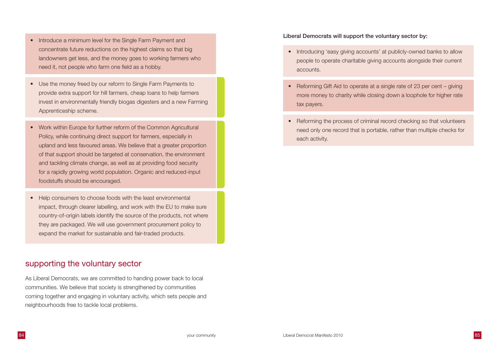- Introduce a minimum level for the Single Farm Payment and concentrate future reductions on the highest claims so that big landowners get less, and the money goes to working farmers who need it, not people who farm one field as a hobby.
- Use the money freed by our reform to Single Farm Payments to provide extra support for hill farmers, cheap loans to help farmers invest in environmentally friendly biogas digesters and a new Farming Apprenticeship scheme.
- Work within Europe for further reform of the Common Agricultural Policy, while continuing direct support for farmers, especially in upland and less favoured areas. We believe that a greater proportion of that support should be targeted at conservation, the environment and tackling climate change, as well as at providing food security for a rapidly growing world population. Organic and reduced-input foodstuffs should be encouraged.
- Help consumers to choose foods with the least environmental impact, through clearer labelling, and work with the EU to make sure country-of-origin labels identify the source of the products, not where they are packaged. We will use government procurement policy to expand the market for sustainable and fair-traded products.

# supporting the voluntary sector

As Liberal Democrats, we are committed to handing power back to local communities. We believe that society is strengthened by communities coming together and engaging in voluntary activity, which sets people and neighbourhoods free to tackle local problems.

#### **Liberal Democrats will support the voluntary sector by:**

- Introducing 'easy giving accounts' at publicly-owned banks to allow people to operate charitable giving accounts alongside their current accounts.
- Reforming Gift Aid to operate at a single rate of 23 per cent giving more money to charity while closing down a loophole for higher rate tax payers.
- Reforming the process of criminal record checking so that volunteers need only one record that is portable, rather than multiple checks for each activity.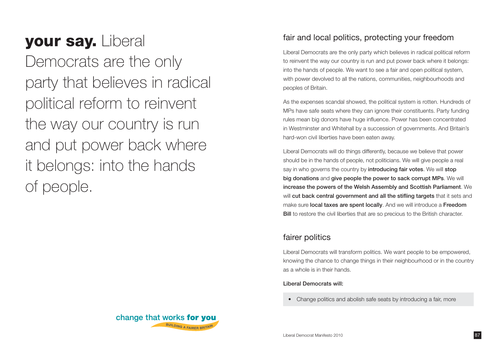# **your say.** Liberal

Democrats are the only party that believes in radical political reform to reinvent the way our country is run and put power back where it belongs: into the hands of people.



# fair and local politics, protecting your freedom

Liberal Democrats are the only party which believes in radical political reform to reinvent the way our country is run and put power back where it belongs: into the hands of people. We want to see a fair and open political system, with power devolved to all the nations, communities, neighbourhoods and peoples of Britain.

As the expenses scandal showed, the political system is rotten. Hundreds of MPs have safe seats where they can ignore their constituents. Party funding rules mean big donors have huge influence. Power has been concentrated in Westminster and Whitehall by a succession of governments. And Britain's hard-won civil liberties have been eaten away.

Liberal Democrats will do things differently, because we believe that power should be in the hands of people, not politicians. We will give people a real say in who governs the country by **introducing fair votes**. We will **stop big donations** and **give people the power to sack corrupt MPs**. We will **increase the powers of the Welsh Assembly and Scottish Parliament**. We will **cut back central government and all the stifling targets** that it sets and make sure **local taxes are spent locally**. And we will introduce a **Freedom Bill** to restore the civil liberties that are so precious to the British character.

# fairer politics

Liberal Democrats will transform politics. We want people to be empowered, knowing the chance to change things in their neighbourhood or in the country as a whole is in their hands.

**Liberal Democrats will:**

• Change politics and abolish safe seats by introducing a fair, more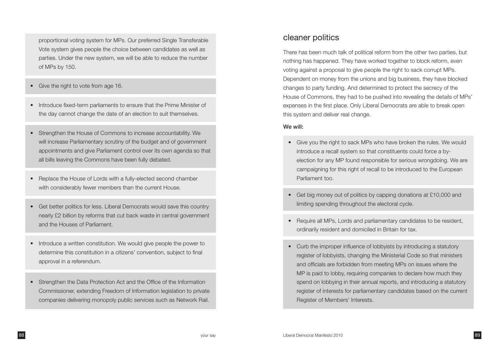proportional voting system for MPs. Our preferred Single Transferable Vote system gives people the choice between candidates as well as parties. Under the new system, we will be able to reduce the number of MPs by 150.

- Give the right to vote from age 16.
- Introduce fixed-term parliaments to ensure that the Prime Minister of the day cannot change the date of an election to suit themselves.
- Strengthen the House of Commons to increase accountability. We will increase Parliamentary scrutiny of the budget and of government appointments and give Parliament control over its own agenda so that all bills leaving the Commons have been fully debated.
- Replace the House of Lords with a fully-elected second chamber with considerably fewer members than the current House.
- Get better politics for less. Liberal Democrats would save this country nearly £2 billion by reforms that cut back waste in central government and the Houses of Parliament.
- Introduce a written constitution. We would give people the power to determine this constitution in a citizens' convention, subject to final approval in a referendum.
- Strengthen the Data Protection Act and the Office of the Information Commissioner, extending Freedom of Information legislation to private companies delivering monopoly public services such as Network Rail.

### cleaner politics

There has been much talk of political reform from the other two parties, but nothing has happened. They have worked together to block reform, even voting against a proposal to give people the right to sack corrupt MPs. Dependent on money from the unions and big business, they have blocked changes to party funding. And determined to protect the secrecy of the House of Commons, they had to be pushed into revealing the details of MPs' expenses in the first place. Only Liberal Democrats are able to break open this system and deliver real change.

#### **We will:**

- Give you the right to sack MPs who have broken the rules. We would introduce a recall system so that constituents could force a byelection for any MP found responsible for serious wrongdoing. We are campaigning for this right of recall to be introduced to the European Parliament too.
- Get big money out of politics by capping donations at £10,000 and limiting spending throughout the electoral cycle.
- Require all MPs, Lords and parliamentary candidates to be resident, ordinarily resident and domiciled in Britain for tax.
- Curb the improper influence of lobbyists by introducing a statutory register of lobbyists, changing the Ministerial Code so that ministers and officials are forbidden from meeting MPs on issues where the MP is paid to lobby, requiring companies to declare how much they spend on lobbying in their annual reports, and introducing a statutory register of interests for parliamentary candidates based on the current Register of Members' Interests.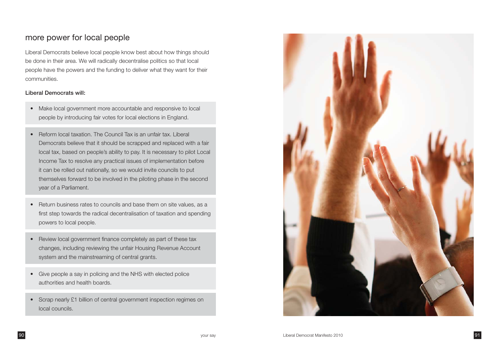# more power for local people

Liberal Democrats believe local people know best about how things should be done in their area. We will radically decentralise politics so that local people have the powers and the funding to deliver what they want for their communities.

#### **Liberal Democrats will:**

- Make local government more accountable and responsive to local people by introducing fair votes for local elections in England.
- Reform local taxation. The Council Tax is an unfair tax. Liberal Democrats believe that it should be scrapped and replaced with a fair local tax, based on people's ability to pay. It is necessary to pilot Local Income Tax to resolve any practical issues of implementation before it can be rolled out nationally, so we would invite councils to put themselves forward to be involved in the piloting phase in the second year of a Parliament.
- Return business rates to councils and base them on site values, as a first step towards the radical decentralisation of taxation and spending powers to local people.
- Review local government finance completely as part of these tax changes, including reviewing the unfair Housing Revenue Account system and the mainstreaming of central grants.
- Give people a say in policing and the NHS with elected police authorities and health boards.
- Scrap nearly £1 billion of central government inspection regimes on local councils.

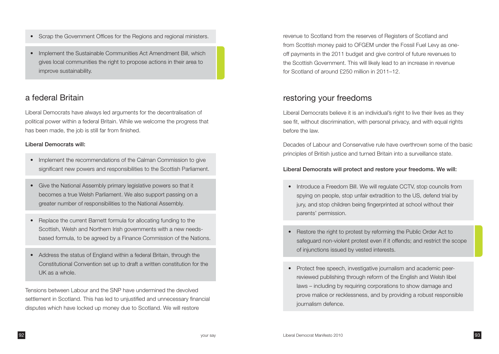- Scrap the Government Offices for the Regions and regional ministers.
- Implement the Sustainable Communities Act Amendment Bill, which gives local communities the right to propose actions in their area to improve sustainability.

## a federal Britain

Liberal Democrats have always led arguments for the decentralisation of political power within a federal Britain. While we welcome the progress that has been made, the job is still far from finished.

#### **Liberal Democrats will:**

- Implement the recommendations of the Calman Commission to give significant new powers and responsibilities to the Scottish Parliament.
- Give the National Assembly primary legislative powers so that it becomes a true Welsh Parliament. We also support passing on a greater number of responsibilities to the National Assembly.
- Replace the current Barnett formula for allocating funding to the Scottish, Welsh and Northern Irish governments with a new needsbased formula, to be agreed by a Finance Commission of the Nations.
- Address the status of England within a federal Britain, through the Constitutional Convention set up to draft a written constitution for the UK as a whole.

Tensions between Labour and the SNP have undermined the devolved settlement in Scotland. This has led to unjustified and unnecessary financial disputes which have locked up money due to Scotland. We will restore

revenue to Scotland from the reserves of Registers of Scotland and from Scottish money paid to OFGEM under the Fossil Fuel Levy as oneoff payments in the 2011 budget and give control of future revenues to the Scottish Government. This will likely lead to an increase in revenue for Scotland of around £250 million in 2011–12.

### restoring your freedoms

Liberal Democrats believe it is an individual's right to live their lives as they see fit, without discrimination, with personal privacy, and with equal rights before the law.

Decades of Labour and Conservative rule have overthrown some of the basic principles of British justice and turned Britain into a surveillance state.

#### **Liberal Democrats will protect and restore your freedoms. We will:**

- Introduce a Freedom Bill. We will regulate CCTV, stop councils from spying on people, stop unfair extradition to the US, defend trial by jury, and stop children being fingerprinted at school without their parents' permission.
- Restore the right to protest by reforming the Public Order Act to safeguard non-violent protest even if it offends; and restrict the scope of injunctions issued by vested interests.
- Protect free speech, investigative journalism and academic peerreviewed publishing through reform of the English and Welsh libel laws – including by requiring corporations to show damage and prove malice or recklessness, and by providing a robust responsible journalism defence.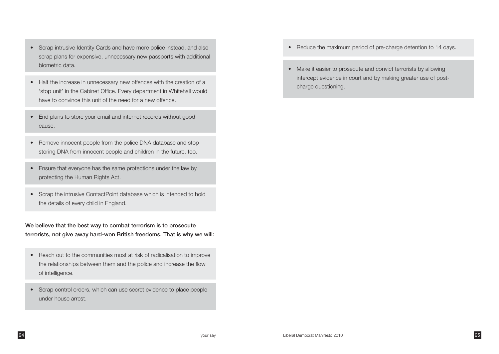- Scrap intrusive Identity Cards and have more police instead, and also scrap plans for expensive, unnecessary new passports with additional biometric data.
- Halt the increase in unnecessary new offences with the creation of a 'stop unit' in the Cabinet Office. Every department in Whitehall would have to convince this unit of the need for a new offence.
- End plans to store your email and internet records without good cause.
- Remove innocent people from the police DNA database and stop storing DNA from innocent people and children in the future, too.
- Ensure that everyone has the same protections under the law by protecting the Human Rights Act.
- Scrap the intrusive ContactPoint database which is intended to hold the details of every child in England.

**We believe that the best way to combat terrorism is to prosecute terrorists, not give away hard-won British freedoms. That is why we will:**

- Reach out to the communities most at risk of radicalisation to improve the relationships between them and the police and increase the flow of intelligence.
- Scrap control orders, which can use secret evidence to place people under house arrest.
- Reduce the maximum period of pre-charge detention to 14 days.
- Make it easier to prosecute and convict terrorists by allowing intercept evidence in court and by making greater use of postcharge questioning.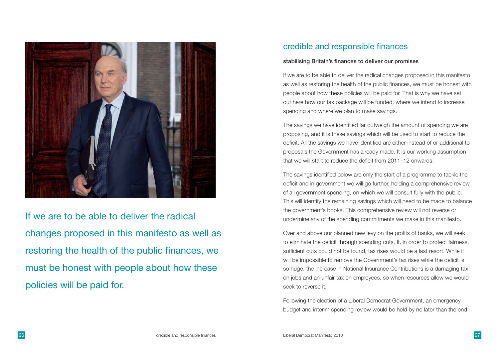

If we are to be able to deliver the radical changes proposed in this manifesto as well as restoring the health of the public finances, we must be honest with people about how these policies will be paid for.

### credible and responsible finances

#### stabilising Britain's finances to deliver our promises

If we are to be able to deliver the radical changes proposed in this manifesto as well as restoring the health of the public finances, we must be honest with people about how these policies will be paid for. That is why we have set out here how our tax package will be funded, where we intend to increase spending and where we plan to make savings.

The savings we have identified far outweigh the amount of spending we are proposing, and it is these savings which will be used to start to reduce the deficit. All the savings we have identified are either instead of or additional to proposals the Government has already made. It is our working assumption that we will start to reduce the deficit from 2011–12 onwards.

The savings identified below are only the start of a programme to tackle the deficit and in government we will go further, holding a comprehensive review of all government spending, on which we will consult fully with the public. This will identify the remaining savings which will need to be made to balance the government's books. This comprehensive review will not reverse or undermine any of the spending commitments we make in this manifesto.

Over and above our planned new levy on the profits of banks, we will seek to eliminate the deficit through spending cuts. If, in order to protect fairness, sufficient cuts could not be found, tax rises would be a last resort. While it will be impossible to remove the Government's tax rises while the deficit is so huge, the increase in National Insurance Contributions is a damaging tax on jobs and an unfair tax on employees, so when resources allow we would seek to reverse it.

Following the election of a Liberal Democrat Government, an emergency budget and interim spending review would be held by no later than the end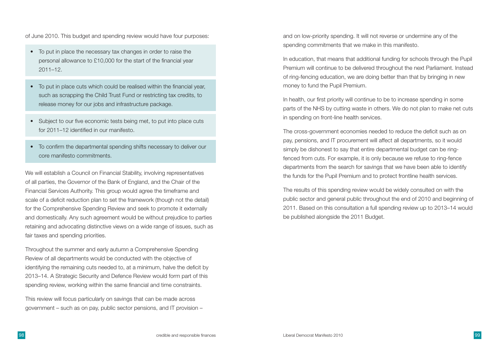of June 2010. This budget and spending review would have four purposes:

- To put in place the necessary tax changes in order to raise the personal allowance to £10,000 for the start of the financial year 2011–12.
- To put in place cuts which could be realised within the financial year, such as scrapping the Child Trust Fund or restricting tax credits, to release money for our jobs and infrastructure package.
- Subject to our five economic tests being met, to put into place cuts for  $2011-12$  identified in our manifesto.
- To confirm the departmental spending shifts necessary to deliver our core manifesto commitments.

We will establish a Council on Financial Stability, involving representatives of all parties, the Governor of the Bank of England, and the Chair of the Financial Services Authority. This group would agree the timeframe and scale of a deficit reduction plan to set the framework (though not the detail) for the Comprehensive Spending Review and seek to promote it externally and domestically. Any such agreement would be without prejudice to parties retaining and advocating distinctive views on a wide range of issues, such as fair taxes and spending priorities.

Throughout the summer and early autumn a Comprehensive Spending Review of all departments would be conducted with the objective of identifying the remaining cuts needed to, at a minimum, halve the deficit by 2013–14. A Strategic Security and Defence Review would form part of this spending review, working within the same financial and time constraints.

This review will focus particularly on savings that can be made across government – such as on pay, public sector pensions, and IT provision – and on low-priority spending. It will not reverse or undermine any of the spending commitments that we make in this manifesto.

In education, that means that additional funding for schools through the Pupil Premium will continue to be delivered throughout the next Parliament. Instead of ring-fencing education, we are doing better than that by bringing in new money to fund the Pupil Premium.

In health, our first priority will continue to be to increase spending in some parts of the NHS by cutting waste in others. We do not plan to make net cuts in spending on front-line health services.

The cross-government economies needed to reduce the deficit such as on pay, pensions, and IT procurement will affect all departments, so it would simply be dishonest to say that entire departmental budget can be ringfenced from cuts. For example, it is only because we refuse to ring-fence departments from the search for savings that we have been able to identify the funds for the Pupil Premium and to protect frontline health services.

The results of this spending review would be widely consulted on with the public sector and general public throughout the end of 2010 and beginning of 2011. Based on this consultation a full spending review up to 2013–14 would be published alongside the 2011 Budget.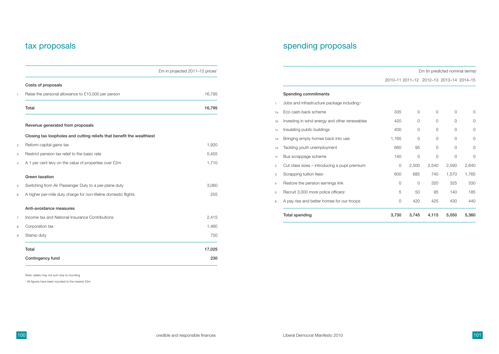# tax proposals

|                                                                       | £m in projected 2011-12 prices1 |
|-----------------------------------------------------------------------|---------------------------------|
| Costs of proposals                                                    |                                 |
| Raise the personal allowance to £10,000 per person                    | 16,795                          |
| Total                                                                 | 16,795                          |
| Revenue generated from proposals                                      |                                 |
| Closing tax loopholes and cutting reliefs that benefit the wealthiest |                                 |
| Reform capital gains tax                                              | 1,920                           |
| Restrict pension tax relief to the basic rate                         | 5,455                           |
| A 1 per cent levy on the value of properties over £2m                 | 1,710                           |
| Green taxation                                                        |                                 |
| Switching from Air Passenger Duty to a per-plane duty                 | 3,060                           |
| A higher per-mile duty charge for non-lifeline domestic flights       | 255                             |
| Anti-avoidance measures                                               |                                 |
| Income tax and National Insurance Contributions                       | 2,415                           |
| Corporation tax                                                       | 1,460                           |
| Stamp duty                                                            | 750                             |
| Total                                                                 | 17,025                          |
| Contingency fund                                                      | 230                             |

spending proposals

| $\mathbf{1}$<br>Eco cash-back scheme<br>335<br>$\Omega$<br>$\Omega$<br>$\Omega$<br>1a<br>Investing in wind energy and other renewables<br>420<br>$\Omega$<br>$\Omega$<br>$\Omega$<br>1 <sub>b</sub><br>400<br>Insulating public buildings<br>$\circ$<br>0<br>$\circ$<br>1 <sub>c</sub><br>Bringing empty homes back into use<br>1,165<br>$\circ$<br>$\Omega$<br>$\Omega$<br>1d<br>Tackling youth unemployment<br>660<br>95<br>$\Omega$<br>$\Omega$<br>1e |                                                         |  |  | $\Omega$<br>$\Omega$ |
|----------------------------------------------------------------------------------------------------------------------------------------------------------------------------------------------------------------------------------------------------------------------------------------------------------------------------------------------------------------------------------------------------------------------------------------------------------|---------------------------------------------------------|--|--|----------------------|
|                                                                                                                                                                                                                                                                                                                                                                                                                                                          |                                                         |  |  |                      |
|                                                                                                                                                                                                                                                                                                                                                                                                                                                          |                                                         |  |  |                      |
|                                                                                                                                                                                                                                                                                                                                                                                                                                                          |                                                         |  |  |                      |
|                                                                                                                                                                                                                                                                                                                                                                                                                                                          |                                                         |  |  |                      |
|                                                                                                                                                                                                                                                                                                                                                                                                                                                          |                                                         |  |  | $\circ$              |
|                                                                                                                                                                                                                                                                                                                                                                                                                                                          |                                                         |  |  | $\Omega$             |
|                                                                                                                                                                                                                                                                                                                                                                                                                                                          |                                                         |  |  | $\Omega$             |
|                                                                                                                                                                                                                                                                                                                                                                                                                                                          | Jobs and infrastructure package including: <sup>2</sup> |  |  |                      |

Note: tables may not sum due to rounding

<sup>1</sup> All figures have been rounded to the nearest £5m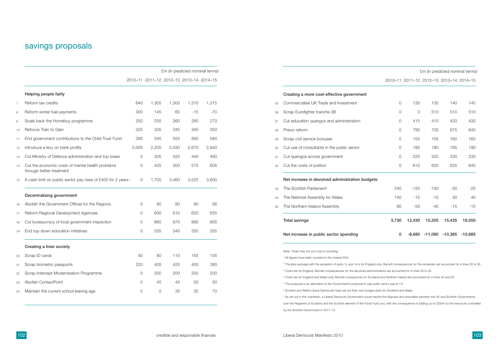# savings proposals

|    |                                                                              |          |                                         |       |       | £m (in predicted nominal terms) <sup>1</sup> |
|----|------------------------------------------------------------------------------|----------|-----------------------------------------|-------|-------|----------------------------------------------|
|    |                                                                              |          | 2010-11 2011-12 2012-13 2013-14 2014-15 |       |       |                                              |
|    | Helping people fairly                                                        |          |                                         |       |       |                                              |
| 7  | Reform tax credits                                                           | 640      | 1,305                                   | 1,300 | 1,310 | 1,315                                        |
| 8  | Reform winter fuel payments                                                  | 300      | 145                                     | 60    | $-15$ | $-70$                                        |
| 9  | Scale back the Homebuy programme                                             | 250      | 255                                     | 260   | 265   | 270                                          |
| 10 | Refocus Train to Gain                                                        | 325      | 335                                     | 340   | 345   | 350                                          |
| 11 | End government contributions to the Child Trust Fund                         | 395      | 545                                     | 555   | 565   | 580                                          |
| 12 | Introduce a levy on bank profits                                             | 2,005    | 2,205                                   | 2,430 | 2,670 | 2,940                                        |
| 13 | Cut Ministry of Defence administration and top brass                         | 0        | 205                                     | 420   | 440   | 460                                          |
| 14 | Cut the economic costs of mental health problems<br>through better treatment | 0        | 425                                     | 500   | 575   | 605                                          |
| 15 | A cash limit on public sector pay rises of £400 for 2 years 5                | 0        | 1,705                                   | 3,460 | 3,525 | 3,600                                        |
|    | Decentralising government                                                    |          |                                         |       |       |                                              |
| 16 | Abolish the Government Offices for the Regions                               | 0        | 90                                      | 90    | 90    | 95                                           |
| 17 | Reform Regional Development Agencies                                         | 0        | 600                                     | 610   | 620   | 635                                          |
| 18 | Cut bureaucracy of local government inspection                               | 0        | 860                                     | 870   | 890   | 905                                          |
| 19 | End top-down education initiatives                                           | 0        | 335                                     | 340   | 350   | 355                                          |
|    | Creating a freer society                                                     |          |                                         |       |       |                                              |
| 20 | Scrap ID cards                                                               | 50       | 80                                      | 110   | 155   | 155                                          |
| 21 | Scrap biometric passports                                                    | 220      | 405                                     | 425   | 400   | 380                                          |
| 22 | Scrap Intercept Modernisation Programme                                      | $\Omega$ | 200                                     | 200   | 200   | 200                                          |
| 23 | Abolish ContactPoint                                                         | 0        | 45                                      | 45    | 50    | 50                                           |
| 24 | Maintain the current school leaving age                                      | 0        | 0                                       | 35    | 35    | 70                                           |

#### £m (in predicted nominal terms)<sup>1</sup>

2010–11 2011–12 2012–13 2013–14 2014–15

|    | Creating a more cost-effective government                    |             |          |        |       |     |
|----|--------------------------------------------------------------|-------------|----------|--------|-------|-----|
| 25 | Commercialise UK Trade and Investment                        | $\Omega$    | 135      | 135    | 140   | 140 |
| 26 | Scrap Eurofighter tranche 3B                                 | $\Omega$    | $\Omega$ | 510    | 510   | 510 |
| 27 | Cut education quangos and administration                     | $\mathbf 0$ | 415      | 410    | 420   | 430 |
| 28 | Prison reform                                                | 0           | 795      | 735    | 675   | 845 |
| 29 | Scrap civil service bonuses                                  | 0           | 155      | 155    | 160   | 160 |
| 30 | Cut use of consultants in the public sector                  | $\circ$     | 180      | 180    | 185   | 190 |
| 31 | Cut quangos across government                                | $\circ$     | 225      | 225    | 230   | 235 |
| 32 | Cut the costs of politics                                    | $\circ$     | 610      | 620    | 635   | 645 |
|    | Net increase in devolved administration budgets <sup>®</sup> |             |          |        |       |     |
| 33 | The Scottish Parliament <sup>7</sup>                         | 240         | -120     | $-120$ | $-30$ | -25 |
| 34 | The National Assembly for Wales                              | 140         | $-15$    | $-15$  | 30    | 40  |

| 35 The Northern Ireland Assembly       | -50 | -45 | $-15$                                  | $-15$ |
|----------------------------------------|-----|-----|----------------------------------------|-------|
| Total savings                          |     |     | 3.730 12.430 15.205 15.435 16.050      |       |
| Net increase in public sector spending |     |     | $-8,680$ $-11,090$ $-10,385$ $-10,685$ |       |

Note: Totals may not sum due to rounding

<sup>1</sup> All figures have been rounded to the nearest £5m

2 The jobs package with the exception of parts 1c and 1e is for England only. Barnett consequences for the remainder are accounted for in lines 33 to 35 3 Costs are for England, Barnett consequences for the devolved administrations are accounted for in lines 33 to 35

4 Costs are for England and Wales only, Barnett consquences for Scotland and Northern Ireland are accounted for in lines 33 and 35

<sup>5</sup> This proposal is an alternative to the Government's proposal to cap public sector pay at 1%

<sup>6</sup> Scottish and Welsh Liberal Democrats have set out their own budget plans for Scotland and Wales

7 As set out in this manifesto, a Liberal Democrat Government would resolve the disputes and anomalies between the UK and Scottish Governments

 over the Registers of Scotland and the Scottish element of the Fossil Fuel Levy, with the consequence of adding up to £250m to the resources controlled by the Scottish Government in 2011–12.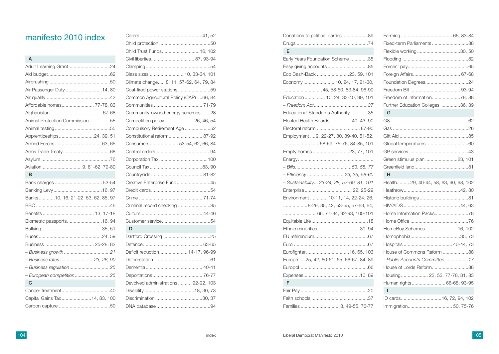# manifesto 2010 index

| A                                  |
|------------------------------------|
| Adult Learning Grant24             |
|                                    |
|                                    |
| Air Passenger Duty 14, 80          |
|                                    |
| Affordable homes 77-78, 83         |
|                                    |
| Animal Protection Commission 55    |
|                                    |
| Apprenticeships24, 39, 51          |
|                                    |
|                                    |
|                                    |
| Aviation 9, 61-62, 79-80           |
| B                                  |
|                                    |
|                                    |
| Banks10, 16, 21-22, 53, 62, 85, 97 |
|                                    |
|                                    |
| Biometric passports16, 94          |
|                                    |
|                                    |
|                                    |
|                                    |
| - Business rates 23, 26, 90        |
| - Business regulation25            |
| - European competition25           |
| C                                  |
|                                    |
| Capital Gains Tax14, 83, 100       |
|                                    |

| Child Trust Funds16, 102                |
|-----------------------------------------|
| Civil liberties 87, 93-94               |
|                                         |
| Class sizes  10, 33-34, 101             |
| Climate change 8, 11, 57-62, 64, 79, 84 |
| Coal-fired power stations59             |
| Common Agricultural Policy (CAP) 66, 84 |
|                                         |
| Community-owned energy schemes28        |
| Competition policy26, 46, 54            |
| Compulsory Retirement Age 52            |
| Constitutional reform 87-92             |
| Consumers 53-54, 62, 66, 84             |
|                                         |
|                                         |
|                                         |
|                                         |
| Creative Enterprise Fund45              |
|                                         |
|                                         |
| Criminal record checking 85             |
|                                         |
|                                         |
| D                                       |
|                                         |
|                                         |
| Deficit reduction 14-17, 96-99          |
|                                         |
|                                         |
|                                         |
| Devolved administrations  92-92, 103    |
|                                         |
|                                         |
|                                         |

| Donations to political parties89           |  |
|--------------------------------------------|--|
|                                            |  |
| E                                          |  |
| Early Years Foundation Scheme35            |  |
| Easy giving accounts 85                    |  |
| Eco Cash-Back 23, 59, 101                  |  |
| Economy 10, 24, 17, 21-30,                 |  |
| 45, 58-60, 83-84, 96-99                    |  |
| Education  10, 24, 33-40, 99, 101          |  |
|                                            |  |
| Educational Standards Authority 35         |  |
| Elected Health Boards 40, 43, 90           |  |
|                                            |  |
| Employment  9, 22-27, 30, 39-40, 51-52,    |  |
| 58-59, 75-76, 84-85, 101                   |  |
| Empty homes 23, 77, 101                    |  |
|                                            |  |
|                                            |  |
| - Efficiency  23, 35, 58-60                |  |
| - Sustainability 23-24, 28, 57-60, 81, 101 |  |
|                                            |  |
| Environment  10-11, 14, 22-24, 26,         |  |
| 8-29, 35, 42, 53-55, 57-63, 64,            |  |
| 66, 77-84, 92-93, 100-101                  |  |
|                                            |  |
| Ethnic minorities 30, 94                   |  |
|                                            |  |
|                                            |  |
|                                            |  |
| Europe 25, 42, 60-61, 65, 66-67, 84, 89    |  |
|                                            |  |
|                                            |  |
| F                                          |  |
|                                            |  |
|                                            |  |
| Families  8, 49-55, 76-77                  |  |

| Fixed-term Parliaments88             |
|--------------------------------------|
| Flexible working30, 50               |
|                                      |
|                                      |
|                                      |
|                                      |
|                                      |
| Freedom of Information78, 88         |
| Further Education Colleges 36, 39    |
| G                                    |
|                                      |
|                                      |
|                                      |
|                                      |
|                                      |
| Green stimulus plan 23, 101          |
|                                      |
| н                                    |
| Health29, 40-44, 58, 63, 90, 98, 102 |
|                                      |
|                                      |
|                                      |
|                                      |
|                                      |
| HomeBuy Schemes16, 102               |
|                                      |
|                                      |
| House of Commons Reform 88           |
| - Public Accounts Committee 17       |
| House of Lords Reform88              |
| Housing 23, 53, 77-78, 81, 83        |
| Human rights 66-68, 93-95            |
| $\blacksquare$                       |
| ID cards16, 72, 94, 102              |
| Immigration 50, 75-76                |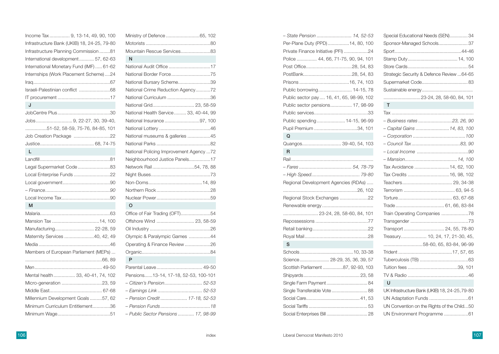| Income Tax  9, 13-14, 49, 90, 100           |
|---------------------------------------------|
| Infrastructure Bank (UKIB) 18, 24-25, 79-80 |
| Infrastructure Planning Commission 81       |
| International development 57, 62-63         |
| International Monetary Fund (IMF)  61-62    |
| Internships (Work Placement Scheme)24       |
|                                             |
| Israeli-Palestinian conflict 68             |
|                                             |
| J                                           |
|                                             |
|                                             |
| 51-52, 58-59, 75-76, 84-85, 101             |
| Job Creation Package 22                     |
|                                             |
| L                                           |
|                                             |
| Legal Supermarket Code83                    |
| Local Enterprise Funds 22                   |
|                                             |
|                                             |
|                                             |
| М                                           |
|                                             |
|                                             |
| Manufacturing 22-28, 59                     |
| Maternity Services 40, 42, 49               |
|                                             |
| Members of European Parliament (MEPs)       |
|                                             |
|                                             |
| Mental health 33, 40-41, 74, 102            |
| Micro-generation 23, 59                     |
|                                             |
| Millennium Development Goals 57, 62         |
| Minimum Curriculum Entitlement36            |
|                                             |

| Ministry of Defence 65, 102             |
|-----------------------------------------|
|                                         |
| Mountain Rescue Services83              |
| N                                       |
| National Audit Office 17                |
| National Border Force75                 |
| National Bursary Scheme39               |
| National Crime Reduction Agency72       |
| National Curriculum 36                  |
| National Grid 23, 58-59                 |
| National Health Service  33, 40-44, 99  |
| National Insurance 97, 100              |
|                                         |
| National museums & galleries 45         |
|                                         |
| National Policing Improvement Agency 72 |
| Neighbourhood Justice Panels17          |
| Network Rail54, 78, 88                  |
|                                         |
|                                         |
|                                         |
|                                         |
| $\circ$                                 |
| Office of Fair Trading (OFT)54          |
| Offshore Wind  23, 58-59                |
|                                         |
| Olympic & Paralympic Games 44           |
| Operating & Finance Review 26           |
|                                         |
| P                                       |
| Parental Leave 49-50                    |
| Pensions13-14, 17-18, 52-53, 100-101    |
| – Citizen's Pension 52-53               |
| - Earnings Link  52-53                  |
| - Pension Credit  17-18, 52-53          |
|                                         |
| - Public Sector Pensions  17, 98-99     |

| Special Educational Needs (SEN) 34             |
|------------------------------------------------|
| Sponsor-Managed Schools 37                     |
|                                                |
|                                                |
|                                                |
| Strategic Security & Defence Review 64-65      |
|                                                |
|                                                |
| 23-24, 28, 58-60, 84, 101                      |
| T.                                             |
|                                                |
| - Business rates 23, 26, 90                    |
| - Capital Gains  14, 83, 100                   |
|                                                |
|                                                |
|                                                |
|                                                |
| Tax Avoidance 14, 62, 100                      |
| Tax Credits 16, 98, 102                        |
|                                                |
|                                                |
|                                                |
|                                                |
| Train Operating Companies 78                   |
|                                                |
| Transport 24, 55, 78-80                        |
| Treasury 10, 24, 17, 21-30, 45,                |
| 58-60, 65, 83-84, 96-99                        |
|                                                |
|                                                |
|                                                |
|                                                |
| - U                                            |
| UK Infrastructure Bank (UKIB) 18, 24-25, 79-80 |
|                                                |
| UN Convention on the Rights of the Child50     |
| UN Environment Programme 61                    |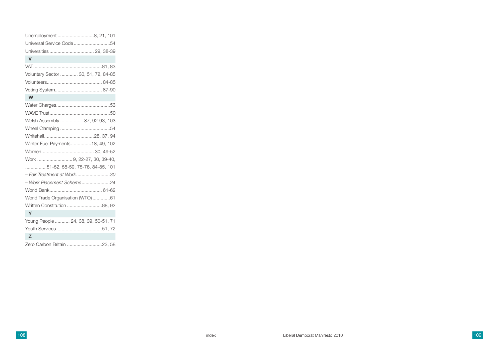| Unemployment 8, 21, 101             |
|-------------------------------------|
| Universal Service Code 54           |
| Universities  29, 38-39             |
| <b>V</b>                            |
|                                     |
| Voluntary Sector  30, 51, 72, 84-85 |
|                                     |
|                                     |
| W                                   |
|                                     |
|                                     |
| Welsh Assembly  87, 92-93, 103      |
|                                     |
|                                     |
| Winter Fuel Payments  18, 49, 102   |
|                                     |
| Work  9, 22-27, 30, 39-40,          |
| 51-52, 58-59, 75-76, 84-85, 101     |
| - Fair Treatment at Work30          |
| - Work Placement Scheme24           |
|                                     |
| World Trade Organisation (WTO)61    |
| Written Constitution 88, 92         |
| $\mathsf{Y}$                        |
| Young People  24, 38, 39, 50-51, 71 |
|                                     |
| Z                                   |
| Zero Carbon Britain 23, 58          |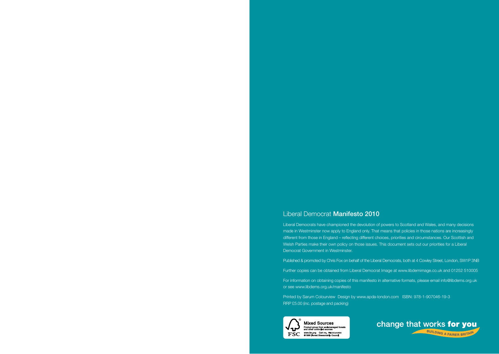#### Liberal Democrat **Manifesto 2010**

Liberal Democrats have championed the devolution of powers to Scotland and Wales, and many decisions made in Westminster now apply to England only. That means that policies in those nations are increasingly different from those in England – reflecting different choices, priorities and circumstances. Our Scottish and Welsh Parties make their own policy on those issues. This document sets out our priorities for a Liberal Democrat Government in Westminster.

Published & promoted by Chris Fox on behalf of the Liberal Democrats, both at 4 Cowley Street, London, SW1P 3NB

Further copies can be obtained from Liberal Democrat Image at www.libdemimage.co.uk and 01252 510005

For information on obtaining copies of this manifesto in alternative formats, please email info@libdems.org.uk or see www.libdems.org.uk/manifesto

Printed by Sarum Colourview Design by www.apda-london.com ISBN: 978-1-907046-19-3 RRP £5.00 (inc. postage and packing)



change that works for you BUILDING A FAIRER BRITAIN